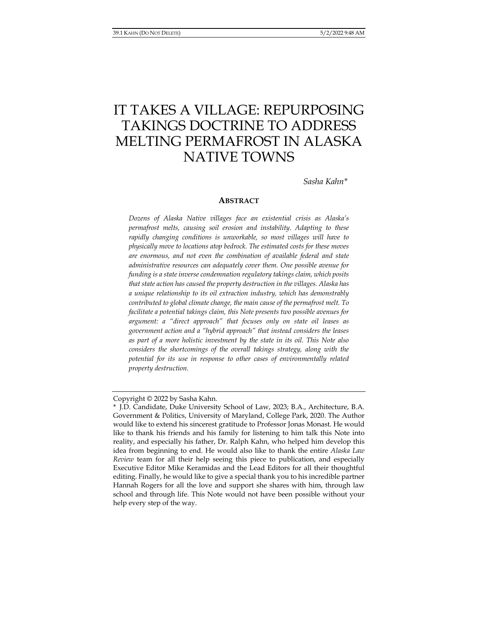# IT TAKES A VILLAGE: REPURPOSING TAKINGS DOCTRINE TO ADDRESS MELTING PERMAFROST IN ALASKA NATIVE TOWNS

*Sasha Kahn\** 

#### **ABSTRACT**

*Dozens of Alaska Native villages face an existential crisis as Alaska's permafrost melts, causing soil erosion and instability. Adapting to these rapidly changing conditions is unworkable, so most villages will have to physically move to locations atop bedrock. The estimated costs for these moves are enormous, and not even the combination of available federal and state administrative resources can adequately cover them. One possible avenue for funding is a state inverse condemnation regulatory takings claim, which posits that state action has caused the property destruction in the villages. Alaska has a unique relationship to its oil extraction industry, which has demonstrably contributed to global climate change, the main cause of the permafrost melt. To facilitate a potential takings claim, this Note presents two possible avenues for argument: a "direct approach" that focuses only on state oil leases as government action and a "hybrid approach" that instead considers the leases as part of a more holistic investment by the state in its oil. This Note also considers the shortcomings of the overall takings strategy, along with the potential for its use in response to other cases of environmentally related property destruction.* 

Copyright © 2022 by Sasha Kahn.

<sup>\*</sup> J.D. Candidate, Duke University School of Law, 2023; B.A., Architecture, B.A. Government & Politics, University of Maryland, College Park, 2020. The Author would like to extend his sincerest gratitude to Professor Jonas Monast. He would like to thank his friends and his family for listening to him talk this Note into reality, and especially his father, Dr. Ralph Kahn, who helped him develop this idea from beginning to end. He would also like to thank the entire *Alaska Law Review* team for all their help seeing this piece to publication, and especially Executive Editor Mike Keramidas and the Lead Editors for all their thoughtful editing. Finally, he would like to give a special thank you to his incredible partner Hannah Rogers for all the love and support she shares with him, through law school and through life. This Note would not have been possible without your help every step of the way.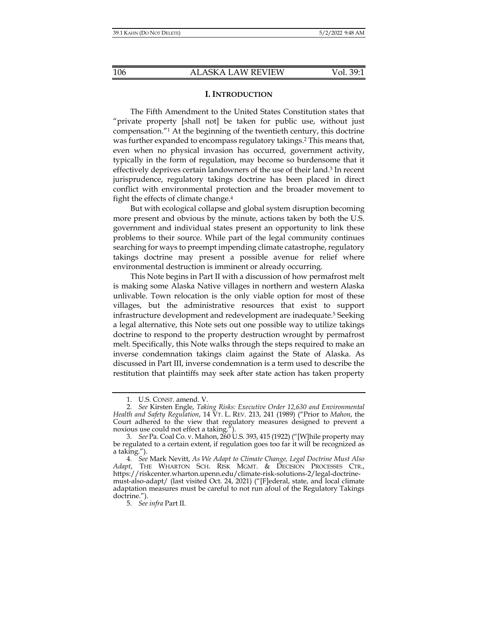### **I. INTRODUCTION**

The Fifth Amendment to the United States Constitution states that "private property [shall not] be taken for public use, without just compensation."1 At the beginning of the twentieth century, this doctrine was further expanded to encompass regulatory takings.2 This means that, even when no physical invasion has occurred, government activity, typically in the form of regulation, may become so burdensome that it effectively deprives certain landowners of the use of their land.<sup>3</sup> In recent jurisprudence, regulatory takings doctrine has been placed in direct conflict with environmental protection and the broader movement to fight the effects of climate change.4

But with ecological collapse and global system disruption becoming more present and obvious by the minute, actions taken by both the U.S. government and individual states present an opportunity to link these problems to their source. While part of the legal community continues searching for ways to preempt impending climate catastrophe, regulatory takings doctrine may present a possible avenue for relief where environmental destruction is imminent or already occurring.

This Note begins in Part II with a discussion of how permafrost melt is making some Alaska Native villages in northern and western Alaska unlivable. Town relocation is the only viable option for most of these villages, but the administrative resources that exist to support infrastructure development and redevelopment are inadequate.5 Seeking a legal alternative, this Note sets out one possible way to utilize takings doctrine to respond to the property destruction wrought by permafrost melt. Specifically, this Note walks through the steps required to make an inverse condemnation takings claim against the State of Alaska. As discussed in Part III, inverse condemnation is a term used to describe the restitution that plaintiffs may seek after state action has taken property

 <sup>1.</sup> U.S. CONST. amend. V.

 <sup>2.</sup> *See* Kirsten Engle, *Taking Risks: Executive Order 12,630 and Environmental Health and Safety Regulation*, 14 VT. L. REV. 213, 241 (1989) ("Prior to *Mahon*, the Court adhered to the view that regulatory measures designed to prevent a noxious use could not effect a taking.").

 <sup>3.</sup> *See* Pa. Coal Co. v. Mahon, 260 U.S. 393, 415 (1922) ("[W]hile property may be regulated to a certain extent, if regulation goes too far it will be recognized as a taking.").

 <sup>4.</sup> *See* Mark Nevitt, *As We Adapt to Climate Change, Legal Doctrine Must Also Adapt*, THE WHARTON SCH. RISK MGMT. & DECISION PROCESSES CTR., https://riskcenter.wharton.upenn.edu/climate-risk-solutions-2/legal-doctrinemust-also-adapt/ (last visited Oct. 24, 2021) ("[F]ederal, state, and local climate adaptation measures must be careful to not run afoul of the Regulatory Takings doctrine.").

 <sup>5.</sup> *See infra* Part II.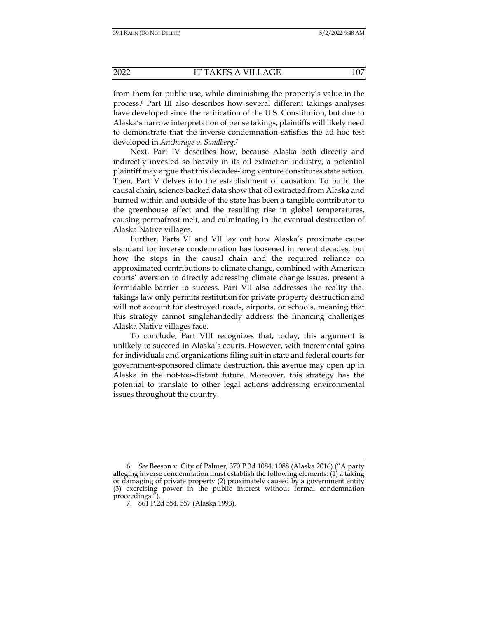from them for public use, while diminishing the property's value in the process.6 Part III also describes how several different takings analyses have developed since the ratification of the U.S. Constitution, but due to Alaska's narrow interpretation of per se takings, plaintiffs will likely need to demonstrate that the inverse condemnation satisfies the ad hoc test developed in *Anchorage v. Sandberg*. 7

Next, Part IV describes how, because Alaska both directly and indirectly invested so heavily in its oil extraction industry, a potential plaintiff may argue that this decades-long venture constitutes state action. Then, Part V delves into the establishment of causation. To build the causal chain, science-backed data show that oil extracted from Alaska and burned within and outside of the state has been a tangible contributor to the greenhouse effect and the resulting rise in global temperatures, causing permafrost melt, and culminating in the eventual destruction of Alaska Native villages.

Further, Parts VI and VII lay out how Alaska's proximate cause standard for inverse condemnation has loosened in recent decades, but how the steps in the causal chain and the required reliance on approximated contributions to climate change, combined with American courts' aversion to directly addressing climate change issues, present a formidable barrier to success. Part VII also addresses the reality that takings law only permits restitution for private property destruction and will not account for destroyed roads, airports, or schools, meaning that this strategy cannot singlehandedly address the financing challenges Alaska Native villages face.

To conclude, Part VIII recognizes that, today, this argument is unlikely to succeed in Alaska's courts. However, with incremental gains for individuals and organizations filing suit in state and federal courts for government-sponsored climate destruction, this avenue may open up in Alaska in the not-too-distant future. Moreover, this strategy has the potential to translate to other legal actions addressing environmental issues throughout the country.

 <sup>6.</sup> *See* Beeson v. City of Palmer, 370 P.3d 1084, 1088 (Alaska 2016) ("A party alleging inverse condemnation must establish the following elements: (1) a taking or damaging of private property (2) proximately caused by a government entity (3) exercising power in the public interest without formal condemnation proceedings.

 <sup>7. 861</sup> P.2d 554, 557 (Alaska 1993).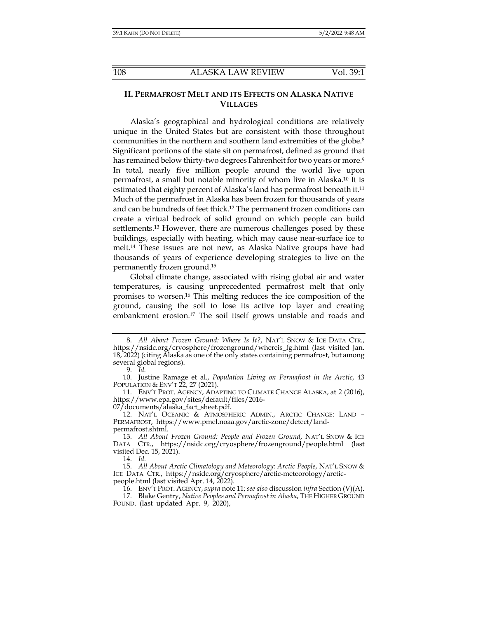# **II. PERMAFROST MELT AND ITS EFFECTS ON ALASKA NATIVE VILLAGES**

Alaska's geographical and hydrological conditions are relatively unique in the United States but are consistent with those throughout communities in the northern and southern land extremities of the globe.<sup>8</sup> Significant portions of the state sit on permafrost, defined as ground that has remained below thirty-two degrees Fahrenheit for two years or more.<sup>9</sup> In total, nearly five million people around the world live upon permafrost, a small but notable minority of whom live in Alaska.10 It is estimated that eighty percent of Alaska's land has permafrost beneath it.<sup>11</sup> Much of the permafrost in Alaska has been frozen for thousands of years and can be hundreds of feet thick.<sup>12</sup> The permanent frozen conditions can create a virtual bedrock of solid ground on which people can build settlements.13 However, there are numerous challenges posed by these buildings, especially with heating, which may cause near-surface ice to melt.14 These issues are not new, as Alaska Native groups have had thousands of years of experience developing strategies to live on the permanently frozen ground.15

Global climate change, associated with rising global air and water temperatures, is causing unprecedented permafrost melt that only promises to worsen.16 This melting reduces the ice composition of the ground, causing the soil to lose its active top layer and creating embankment erosion.17 The soil itself grows unstable and roads and

14. *Id.*

 <sup>8.</sup> *All About Frozen Ground: Where Is It?*, NAT'L SNOW & ICE DATA CTR., https://nsidc.org/cryosphere/frozenground/whereis\_fg.html (last visited Jan. 18, 2022) (citing Alaska as one of the only states containing permafrost, but among several global regions).

 <sup>9.</sup> *Id.* 

 <sup>10.</sup> Justine Ramage et al., *Population Living on Permafrost in the Arctic*, 43 POPULATION & ENV'T 22, 27 (2021).

 <sup>11.</sup> ENV'T PROT. AGENCY, ADAPTING TO CLIMATE CHANGE ALASKA, at 2 (2016), https://www.epa.gov/sites/default/files/2016- 07/documents/alaska\_fact\_sheet.pdf.

 <sup>12.</sup> NAT'L OCEANIC & ATMOSPHERIC ADMIN., ARCTIC CHANGE: LAND – PERMAFROST, https://www.pmel.noaa.gov/arctic-zone/detect/landpermafrost.shtml.

 <sup>13.</sup> *All About Frozen Ground: People and Frozen Ground*, NAT'L SNOW & ICE DATA CTR., https://nsidc.org/cryosphere/frozenground/people.html (last visited Dec. 15, 2021).

 <sup>15.</sup> *All About Arctic Climatology and Meteorology: Arctic People*, NAT'L SNOW & ICE DATA CTR., https://nsidc.org/cryosphere/arctic-meteorology/arcticpeople.html (last visited Apr. 14, 2022).

 <sup>16.</sup> ENV'T PROT. AGENCY,*supra* note 11;*see also* discussion *infra* Section (V)(A).

<sup>17.</sup> Blake Gentry, Native Peoples and Permafrost in Alaska, THE HIGHER GROUND FOUND. (last updated Apr. 9, 2020),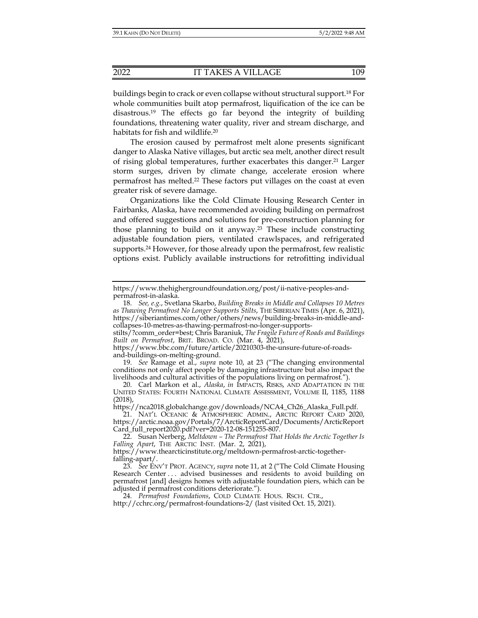buildings begin to crack or even collapse without structural support.18 For whole communities built atop permafrost, liquification of the ice can be disastrous.19 The effects go far beyond the integrity of building foundations, threatening water quality, river and stream discharge, and habitats for fish and wildlife.20

The erosion caused by permafrost melt alone presents significant danger to Alaska Native villages, but arctic sea melt, another direct result of rising global temperatures, further exacerbates this danger.21 Larger storm surges, driven by climate change, accelerate erosion where permafrost has melted.22 These factors put villages on the coast at even greater risk of severe damage.

Organizations like the Cold Climate Housing Research Center in Fairbanks, Alaska, have recommended avoiding building on permafrost and offered suggestions and solutions for pre-construction planning for those planning to build on it anyway.23 These include constructing adjustable foundation piers, ventilated crawlspaces, and refrigerated supports.24 However, for those already upon the permafrost, few realistic options exist. Publicly available instructions for retrofitting individual

stilts/?comm\_order=best; Chris Baraniuk, *The Fragile Future of Roads and Buildings Built on Permafrost*, BRIT. BROAD. CO. (Mar. 4, 2021),

https://www.bbc.com/future/article/20210303-the-unsure-future-of-roadsand-buildings-on-melting-ground.

 19. *See* Ramage et al., *supra* note 10, at 23 ("The changing environmental conditions not only affect people by damaging infrastructure but also impact the livelihoods and cultural activities of the populations living on permafrost.").

https://nca2018.globalchange.gov/downloads/NCA4\_Ch26\_Alaska\_Full.pdf.

https://www.thehighergroundfoundation.org/post/ii-native-peoples-andpermafrost-in-alaska.

 <sup>18.</sup> *See, e.g.*, Svetlana Skarbo, *Building Breaks in Middle and Collapses 10 Metres as Thawing Permafrost No Longer Supports Stilts*, THE SIBERIAN TIMES (Apr. 6, 2021), https://siberiantimes.com/other/others/news/building-breaks-in-middle-andcollapses-10-metres-as-thawing-permafrost-no-longer-supports-

 <sup>20.</sup> Carl Markon et al., *Alaska*, *in* IMPACTS, RISKS, AND ADAPTATION IN THE UNITED STATES: FOURTH NATIONAL CLIMATE ASSESSMENT, VOLUME II, 1185, 1188 (2018),

 <sup>21.</sup> NAT'L OCEANIC & ATMOSPHERIC ADMIN., ARCTIC REPORT CARD 2020, https://arctic.noaa.gov/Portals/7/ArcticReportCard/Documents/ArcticReport Card\_full\_report2020.pdf?ver=2020-12-08-151255-807.

 <sup>22.</sup> Susan Nerberg, *Meltdown – The Permafrost That Holds the Arctic Together Is Falling Apart*, THE ARCTIC INST. (Mar. 2, 2021),

https://www.thearcticinstitute.org/meltdown-permafrost-arctic-togetherfalling-apart/.

 <sup>23.</sup> *See* ENV'T PROT. AGENCY, *supra* note 11, at 2 ("The Cold Climate Housing Research Center . . . advised businesses and residents to avoid building on permafrost [and] designs homes with adjustable foundation piers, which can be adjusted if permafrost conditions deteriorate.").

 <sup>24.</sup> *Permafrost Foundations*, COLD CLIMATE HOUS. RSCH. CTR., http://cchrc.org/permafrost-foundations-2/ (last visited Oct. 15, 2021).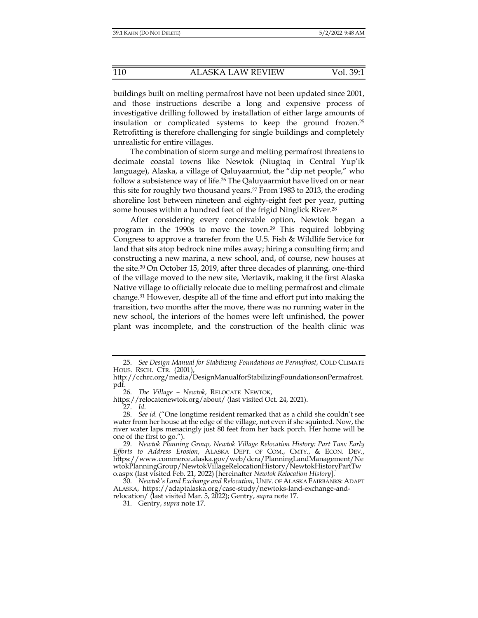buildings built on melting permafrost have not been updated since 2001, and those instructions describe a long and expensive process of investigative drilling followed by installation of either large amounts of insulation or complicated systems to keep the ground frozen.25 Retrofitting is therefore challenging for single buildings and completely unrealistic for entire villages.

The combination of storm surge and melting permafrost threatens to decimate coastal towns like Newtok (Niugtaq in Central Yup'ik language), Alaska, a village of Qaluyaarmiut, the "dip net people," who follow a subsistence way of life.26 The Qaluyaarmiut have lived on or near this site for roughly two thousand years.27 From 1983 to 2013, the eroding shoreline lost between nineteen and eighty-eight feet per year, putting some houses within a hundred feet of the frigid Ninglick River.<sup>28</sup>

After considering every conceivable option, Newtok began a program in the 1990s to move the town.29 This required lobbying Congress to approve a transfer from the U.S. Fish & Wildlife Service for land that sits atop bedrock nine miles away; hiring a consulting firm; and constructing a new marina, a new school, and, of course, new houses at the site.30 On October 15, 2019, after three decades of planning, one-third of the village moved to the new site, Mertavik, making it the first Alaska Native village to officially relocate due to melting permafrost and climate change.31 However, despite all of the time and effort put into making the transition, two months after the move, there was no running water in the new school, the interiors of the homes were left unfinished, the power plant was incomplete, and the construction of the health clinic was

 <sup>25.</sup> *See Design Manual for Stabilizing Foundations on Permafrost*, COLD CLIMATE HOUS. RSCH. CTR. (2001),

http://cchrc.org/media/DesignManualforStabilizingFoundationsonPermafrost. pdf.

 <sup>26.</sup> *The Village – Newtok*, RELOCATE NEWTOK,

https://relocatenewtok.org/about/ (last visited Oct. 24, 2021).

 <sup>27.</sup> *Id.*

 <sup>28.</sup> *See id.* ("One longtime resident remarked that as a child she couldn't see water from her house at the edge of the village, not even if she squinted. Now, the river water laps menacingly just 80 feet from her back porch. Her home will be one of the first to go.").

 <sup>29.</sup> *Newtok Planning Group, Newtok Village Relocation History: Part Two: Early Efforts to Address Erosion*, ALASKA DEPT. OF COM., CMTY., & ECON. DEV., https://www.commerce.alaska.gov/web/dcra/PlanningLandManagement/Ne wtokPlanningGroup/NewtokVillageRelocationHistory/NewtokHistoryPartTw o.aspx (last visited Feb. 21, 2022) [hereinafter *Newtok Relocation History*].

 <sup>30.</sup> *Newtok's Land Exchange and Relocation*, UNIV. OF ALASKA FAIRBANKS: ADAPT ALASKA, https://adaptalaska.org/case-study/newtoks-land-exchange-andrelocation/ (last visited Mar. 5, 2022); Gentry, *supra* note 17.

 <sup>31.</sup> Gentry, *supra* note 17.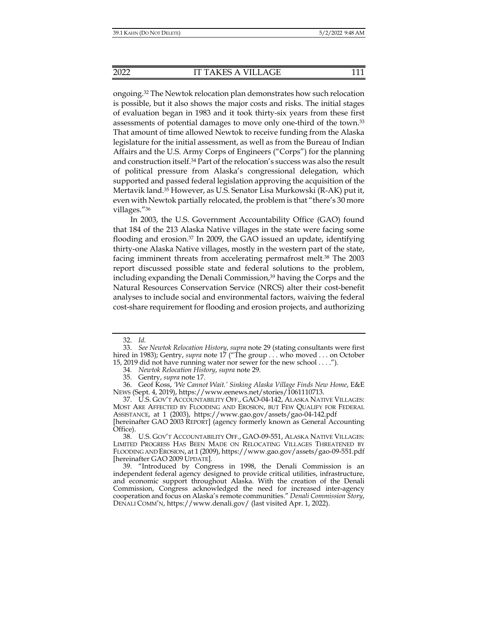ongoing.32 The Newtok relocation plan demonstrates how such relocation is possible, but it also shows the major costs and risks. The initial stages of evaluation began in 1983 and it took thirty-six years from these first assessments of potential damages to move only one-third of the town.33 That amount of time allowed Newtok to receive funding from the Alaska legislature for the initial assessment, as well as from the Bureau of Indian Affairs and the U.S. Army Corps of Engineers ("Corps") for the planning and construction itself.34 Part of the relocation's success was also the result of political pressure from Alaska's congressional delegation, which supported and passed federal legislation approving the acquisition of the Mertavik land.35 However, as U.S. Senator Lisa Murkowski (R-AK) put it, even with Newtok partially relocated, the problem is that "there's 30 more villages."36

In 2003, the U.S. Government Accountability Office (GAO) found that 184 of the 213 Alaska Native villages in the state were facing some flooding and erosion. $37 \text{ In } 2009$ , the GAO issued an update, identifying thirty-one Alaska Native villages, mostly in the western part of the state, facing imminent threats from accelerating permafrost melt.38 The 2003 report discussed possible state and federal solutions to the problem, including expanding the Denali Commission,<sup>39</sup> having the Corps and the Natural Resources Conservation Service (NRCS) alter their cost-benefit analyses to include social and environmental factors, waiving the federal cost-share requirement for flooding and erosion projects, and authorizing

 <sup>32.</sup> *Id.* 

 <sup>33.</sup> *See Newtok Relocation History*, *supra* note 29 (stating consultants were first hired in 1983); Gentry, *supra* note 17 ("The group . . . who moved . . . on October 15, 2019 did not have running water nor sewer for the new school . . . .").

<sup>34</sup>*. Newtok Relocation History*, *supra* note 29.

 <sup>35.</sup> Gentry, *supra* note 17.

 <sup>36.</sup> Geof Koss, *'We Cannot Wait.' Sinking Alaska Village Finds New Home*, E&E NEWS (Sept. 4, 2019), https://www.eenews.net/stories/1061110713.

 <sup>37.</sup> U.S. GOV'T ACCOUNTABILITY OFF., GAO-04-142, ALASKA NATIVE VILLAGES: MOST ARE AFFECTED BY FLOODING AND EROSION, BUT FEW QUALIFY FOR FEDERAL ASSISTANCE, at 1 (2003), https://www.gao.gov/assets/gao-04-142.pdf [hereinafter GAO 2003 REPORT] (agency formerly known as General Accounting Office).

 <sup>38.</sup> U.S. GOV'T ACCOUNTABILITY OFF., GAO-09-551, ALASKA NATIVE VILLAGES: LIMITED PROGRESS HAS BEEN MADE ON RELOCATING VILLAGES THREATENED BY FLOODING AND EROSION, at 1 (2009), https://www.gao.gov/assets/gao-09-551.pdf [hereinafter GAO 2009 UPDATE].

 <sup>39. &</sup>quot;Introduced by Congress in 1998, the Denali Commission is an independent federal agency designed to provide critical utilities, infrastructure, and economic support throughout Alaska. With the creation of the Denali Commission, Congress acknowledged the need for increased inter-agency cooperation and focus on Alaska's remote communities." *Denali Commission Story*, DENALI COMM'N, https://www.denali.gov/ (last visited Apr. 1, 2022).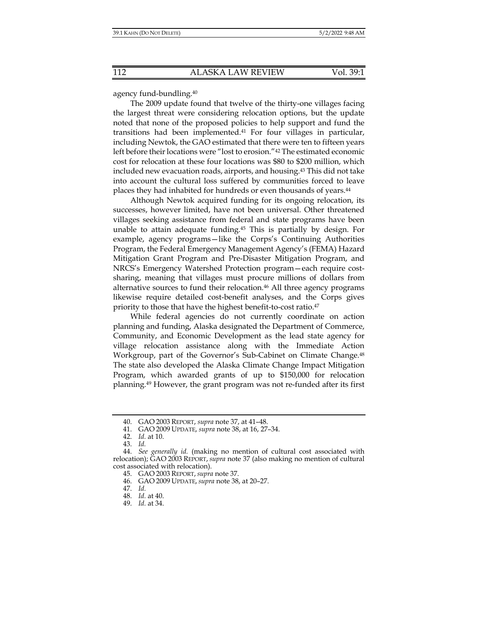agency fund-bundling.40

The 2009 update found that twelve of the thirty-one villages facing the largest threat were considering relocation options, but the update noted that none of the proposed policies to help support and fund the transitions had been implemented.41 For four villages in particular, including Newtok, the GAO estimated that there were ten to fifteen years left before their locations were "lost to erosion."42 The estimated economic cost for relocation at these four locations was \$80 to \$200 million, which included new evacuation roads, airports, and housing.43 This did not take into account the cultural loss suffered by communities forced to leave places they had inhabited for hundreds or even thousands of years.<sup>44</sup>

Although Newtok acquired funding for its ongoing relocation, its successes, however limited, have not been universal. Other threatened villages seeking assistance from federal and state programs have been unable to attain adequate funding.45 This is partially by design. For example, agency programs—like the Corps's Continuing Authorities Program, the Federal Emergency Management Agency's (FEMA) Hazard Mitigation Grant Program and Pre-Disaster Mitigation Program, and NRCS's Emergency Watershed Protection program—each require costsharing, meaning that villages must procure millions of dollars from alternative sources to fund their relocation.<sup>46</sup> All three agency programs likewise require detailed cost-benefit analyses, and the Corps gives priority to those that have the highest benefit-to-cost ratio.47

While federal agencies do not currently coordinate on action planning and funding, Alaska designated the Department of Commerce, Community, and Economic Development as the lead state agency for village relocation assistance along with the Immediate Action Workgroup, part of the Governor's Sub-Cabinet on Climate Change.48 The state also developed the Alaska Climate Change Impact Mitigation Program, which awarded grants of up to \$150,000 for relocation planning.49 However, the grant program was not re-funded after its first

 <sup>40.</sup> GAO 2003 REPORT, *supra* note 37, at 41–48.

 <sup>41.</sup> GAO 2009 UPDATE, *supra* note 38, at 16, 27–34.

 <sup>42.</sup> *Id.* at 10.

 <sup>43.</sup> *Id.* 

 <sup>44.</sup> *See generally id.* (making no mention of cultural cost associated with relocation); GAO 2003 REPORT, *supra* note 37 (also making no mention of cultural cost associated with relocation).

 <sup>45.</sup> GAO 2003 REPORT, *supra* note 37.

 <sup>46.</sup> GAO 2009 UPDATE, *supra* note 38, at 20–27.

 <sup>47.</sup> *Id.*

 <sup>48.</sup> *Id.* at 40.

 <sup>49.</sup> *Id.* at 34.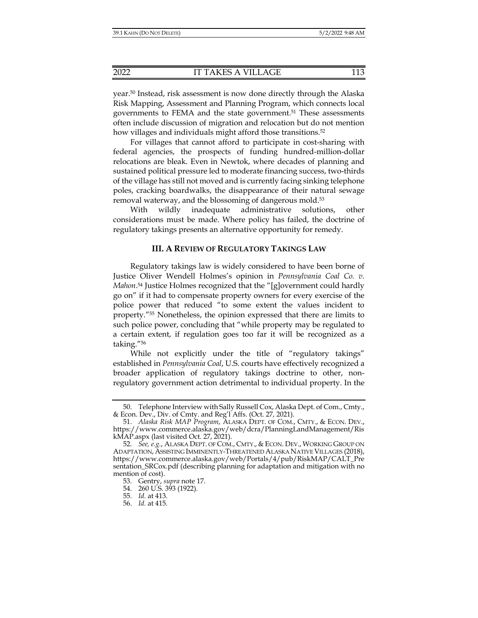year.50 Instead, risk assessment is now done directly through the Alaska Risk Mapping, Assessment and Planning Program, which connects local governments to FEMA and the state government.<sup>51</sup> These assessments often include discussion of migration and relocation but do not mention how villages and individuals might afford those transitions.<sup>52</sup>

For villages that cannot afford to participate in cost-sharing with federal agencies, the prospects of funding hundred-million-dollar relocations are bleak. Even in Newtok, where decades of planning and sustained political pressure led to moderate financing success, two-thirds of the village has still not moved and is currently facing sinking telephone poles, cracking boardwalks, the disappearance of their natural sewage removal waterway, and the blossoming of dangerous mold.53

With wildly inadequate administrative solutions, other considerations must be made. Where policy has failed, the doctrine of regulatory takings presents an alternative opportunity for remedy.

## **III. A REVIEW OF REGULATORY TAKINGS LAW**

Regulatory takings law is widely considered to have been borne of Justice Oliver Wendell Holmes's opinion in *Pennsylvania Coal Co. v. Mahon*. 54 Justice Holmes recognized that the "[g]overnment could hardly go on" if it had to compensate property owners for every exercise of the police power that reduced "to some extent the values incident to property."55 Nonetheless, the opinion expressed that there are limits to such police power, concluding that "while property may be regulated to a certain extent, if regulation goes too far it will be recognized as a taking."56

While not explicitly under the title of "regulatory takings" established in *Pennsylvania Coal*, U.S. courts have effectively recognized a broader application of regulatory takings doctrine to other, nonregulatory government action detrimental to individual property. In the

 <sup>50.</sup> Telephone Interview with Sally Russell Cox, Alaska Dept. of Com., Cmty., & Econ. Dev., Div. of Cmty. and Reg'l Affs. (Oct. 27, 2021).

 <sup>51.</sup> *Alaska Risk MAP Program*, ALASKA DEPT. OF COM., CMTY., & ECON. DEV., https://www.commerce.alaska.gov/web/dcra/PlanningLandManagement/Ris kMAP.aspx (last visited Oct. 27, 2021).

 <sup>52.</sup> *See, e.g.*, ALASKA DEPT. OF COM., CMTY., & ECON. DEV., WORKING GROUP ON ADAPTATION, ASSISTING IMMINENTLY-THREATENED ALASKA NATIVE VILLAGES (2018), https://www.commerce.alaska.gov/web/Portals/4/pub/RiskMAP/CALT\_Pre sentation\_SRCox.pdf (describing planning for adaptation and mitigation with no mention of cost).

 <sup>53.</sup> Gentry, *supra* note 17.

 <sup>54. 260</sup> U.S. 393 (1922).

 <sup>55.</sup> *Id.* at 413.

 <sup>56.</sup> *Id.* at 415.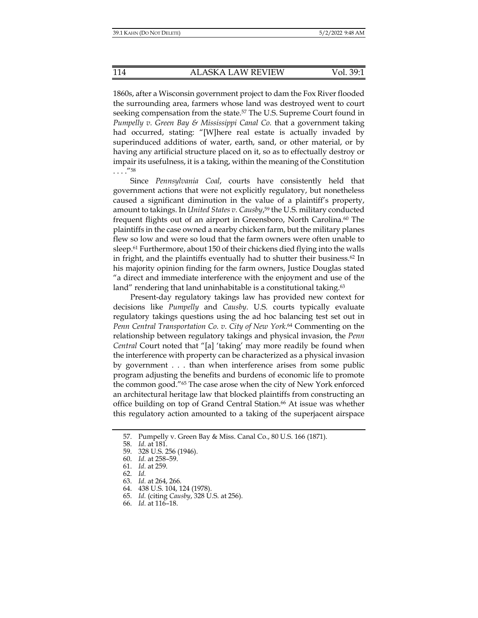1860s, after a Wisconsin government project to dam the Fox River flooded the surrounding area, farmers whose land was destroyed went to court seeking compensation from the state.<sup>57</sup> The U.S. Supreme Court found in *Pumpelly v. Green Bay & Mississippi Canal Co.* that a government taking had occurred, stating: "[W]here real estate is actually invaded by superinduced additions of water, earth, sand, or other material, or by having any artificial structure placed on it, so as to effectually destroy or impair its usefulness, it is a taking, within the meaning of the Constitution  $\ldots$ .  $^{\prime\prime}$ 58

Since *Pennsylvania Coal*, courts have consistently held that government actions that were not explicitly regulatory, but nonetheless caused a significant diminution in the value of a plaintiff's property, amount to takings. In *United States v. Causby*, 59 the U.S. military conducted frequent flights out of an airport in Greensboro, North Carolina.<sup>60</sup> The plaintiffs in the case owned a nearby chicken farm, but the military planes flew so low and were so loud that the farm owners were often unable to sleep.<sup>61</sup> Furthermore, about 150 of their chickens died flying into the walls in fright, and the plaintiffs eventually had to shutter their business.<sup>62</sup> In his majority opinion finding for the farm owners, Justice Douglas stated "a direct and immediate interference with the enjoyment and use of the land" rendering that land uninhabitable is a constitutional taking.<sup>63</sup>

Present-day regulatory takings law has provided new context for decisions like *Pumpelly* and *Causby*. U.S. courts typically evaluate regulatory takings questions using the ad hoc balancing test set out in *Penn Central Transportation Co. v. City of New York*. 64 Commenting on the relationship between regulatory takings and physical invasion, the *Penn Central* Court noted that "[a] 'taking' may more readily be found when the interference with property can be characterized as a physical invasion by government . . . than when interference arises from some public program adjusting the benefits and burdens of economic life to promote the common good."65 The case arose when the city of New York enforced an architectural heritage law that blocked plaintiffs from constructing an office building on top of Grand Central Station.<sup>66</sup> At issue was whether this regulatory action amounted to a taking of the superjacent airspace

- 62. *Id.*
- 63. *Id.* at 264, 266.
- 64. 438 U.S. 104, 124 (1978).
- 65. *Id.* (citing *Causby*, 328 U.S. at 256).
- 66. *Id.* at 116–18.

 <sup>57.</sup> Pumpelly v. Green Bay & Miss. Canal Co., 80 U.S. 166 (1871).

 <sup>58.</sup> *Id.* at 181.

 <sup>59. 328</sup> U.S. 256 (1946).

 <sup>60.</sup> *Id.* at 258–59.

 <sup>61.</sup> *Id.* at 259.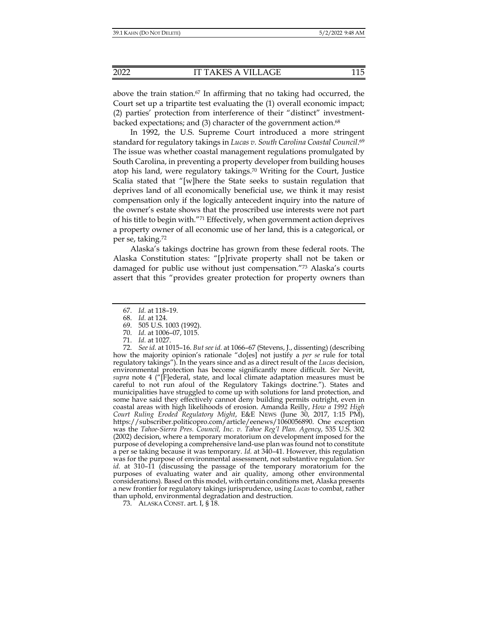above the train station.67 In affirming that no taking had occurred, the Court set up a tripartite test evaluating the (1) overall economic impact; (2) parties' protection from interference of their "distinct" investmentbacked expectations; and  $(3)$  character of the government action.<sup>68</sup>

In 1992, the U.S. Supreme Court introduced a more stringent standard for regulatory takings in *Lucas v. South Carolina Coastal Council*. 69 The issue was whether coastal management regulations promulgated by South Carolina, in preventing a property developer from building houses atop his land, were regulatory takings.70 Writing for the Court, Justice Scalia stated that "[w]here the State seeks to sustain regulation that deprives land of all economically beneficial use, we think it may resist compensation only if the logically antecedent inquiry into the nature of the owner's estate shows that the proscribed use interests were not part of his title to begin with."71 Effectively, when government action deprives a property owner of all economic use of her land, this is a categorical, or per se, taking.72

Alaska's takings doctrine has grown from these federal roots. The Alaska Constitution states: "[p]rivate property shall not be taken or damaged for public use without just compensation."73 Alaska's courts assert that this "provides greater protection for property owners than

- 70. *Id.* at 1006–07, 1015.
- 71. *Id.* at 1027.

 72. *See id.* at 1015–16. *But see id.* at 1066–67 (Stevens, J., dissenting) (describing how the majority opinion's rationale "do[es] not justify a *per se* rule for total regulatory takings"). In the years since and as a direct result of the *Lucas* decision, environmental protection has become significantly more difficult. *See* Nevitt, *supra* note 4 ("[F]ederal, state, and local climate adaptation measures must be careful to not run afoul of the Regulatory Takings doctrine."). States and municipalities have struggled to come up with solutions for land protection, and some have said they effectively cannot deny building permits outright, even in coastal areas with high likelihoods of erosion. Amanda Reilly, *How a 1992 High Court Ruling Eroded Regulatory Might*, E&E NEWS (June 30, 2017, 1:15 PM), https://subscriber.politicopro.com/article/eenews/1060056890. One exception was the *Tahoe-Sierra Pres. Council, Inc. v. Tahoe Reg'l Plan. Agency*, 535 U.S. 302 (2002) decision, where a temporary moratorium on development imposed for the purpose of developing a comprehensive land-use plan was found not to constitute a per se taking because it was temporary. *Id.* at 340–41. However, this regulation was for the purpose of environmental assessment, not substantive regulation. *See id.* at 310–11 (discussing the passage of the temporary moratorium for the purposes of evaluating water and air quality, among other environmental considerations). Based on this model, with certain conditions met, Alaska presents a new frontier for regulatory takings jurisprudence, using *Lucas* to combat, rather than uphold, environmental degradation and destruction.

73. ALASKA CONST. art. I, § 18.

 <sup>67.</sup> *Id.* at 118–19.

 <sup>68.</sup> *Id.* at 124.

 <sup>69. 505</sup> U.S. 1003 (1992).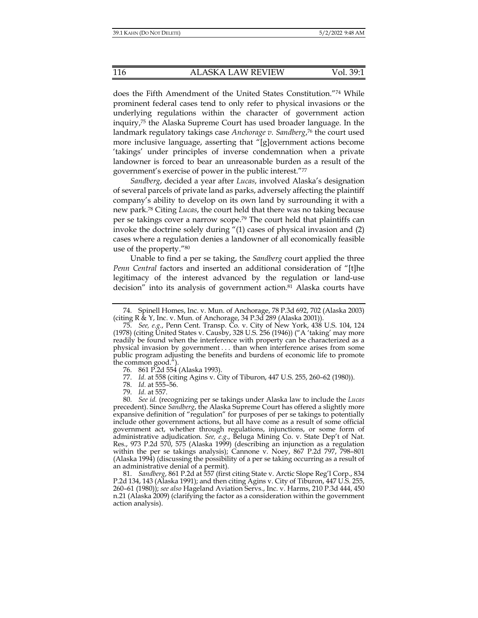does the Fifth Amendment of the United States Constitution."74 While prominent federal cases tend to only refer to physical invasions or the underlying regulations within the character of government action inquiry,75 the Alaska Supreme Court has used broader language. In the landmark regulatory takings case *Anchorage v. Sandberg*, 76 the court used more inclusive language, asserting that "[g]overnment actions become 'takings' under principles of inverse condemnation when a private landowner is forced to bear an unreasonable burden as a result of the government's exercise of power in the public interest."77

*Sandberg*, decided a year after *Lucas*, involved Alaska's designation of several parcels of private land as parks, adversely affecting the plaintiff company's ability to develop on its own land by surrounding it with a new park.78 Citing *Lucas*, the court held that there was no taking because per se takings cover a narrow scope.79 The court held that plaintiffs can invoke the doctrine solely during "(1) cases of physical invasion and (2) cases where a regulation denies a landowner of all economically feasible use of the property."80

Unable to find a per se taking, the *Sandberg* court applied the three *Penn Central* factors and inserted an additional consideration of "[t]he legitimacy of the interest advanced by the regulation or land-use decision" into its analysis of government action.<sup>81</sup> Alaska courts have

78. *Id.* at 555–56.

79. *Id.* at 557.

 80. *See id.* (recognizing per se takings under Alaska law to include the *Lucas* precedent). Since *Sandberg*, the Alaska Supreme Court has offered a slightly more expansive definition of "regulation" for purposes of per se takings to potentially include other government actions, but all have come as a result of some official government act, whether through regulations, injunctions, or some form of administrative adjudication. *See, e.g.*, Beluga Mining Co. v. State Dep't of Nat. Res., 973 P.2d 570, 575 (Alaska 1999) (describing an injunction as a regulation within the per se takings analysis); Cannone v. Noey, 867 P.2d 797, 798–801 (Alaska 1994) (discussing the possibility of a per se taking occurring as a result of an administrative denial of a permit).

 81. *Sandberg*, 861 P.2d at 557 (first citing State v. Arctic Slope Reg'l Corp., 834 P.2d 134, 143 (Alaska 1991); and then citing Agins v. City of Tiburon, 447 U.S. 255, 260–61 (1980)); *see also* Hageland Aviation Servs., Inc. v. Harms, 210 P.3d 444, 450 n.21 (Alaska 2009) (clarifying the factor as a consideration within the government action analysis).

 <sup>74.</sup> Spinell Homes, Inc. v. Mun. of Anchorage, 78 P.3d 692, 702 (Alaska 2003) (citing R & Y, Inc. v. Mun. of Anchorage, 34 P.3d 289 (Alaska 2001)).

 <sup>75.</sup> *See, e.g.*, Penn Cent. Transp. Co. v. City of New York, 438 U.S. 104, 124 (1978) (citing United States v. Causby, 328 U.S. 256 (1946)) ("A 'taking' may more readily be found when the interference with property can be characterized as a physical invasion by government . . . than when interference arises from some public program adjusting the benefits and burdens of economic life to promote the common good.").

 <sup>76. 861</sup> P.2d 554 (Alaska 1993).

 <sup>77.</sup> *Id.* at 558 (citing Agins v. City of Tiburon, 447 U.S. 255, 260–62 (1980)).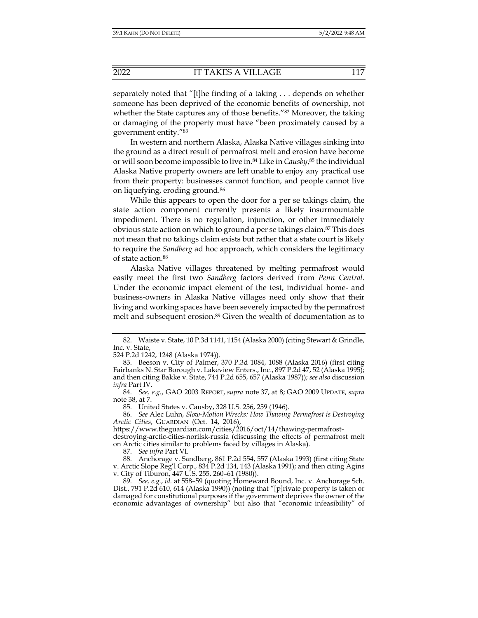separately noted that "[t]he finding of a taking . . . depends on whether someone has been deprived of the economic benefits of ownership, not whether the State captures any of those benefits."<sup>82</sup> Moreover, the taking or damaging of the property must have "been proximately caused by a government entity."83

In western and northern Alaska, Alaska Native villages sinking into the ground as a direct result of permafrost melt and erosion have become or will soon become impossible to live in.84 Like in *Causby*, 85 the individual Alaska Native property owners are left unable to enjoy any practical use from their property: businesses cannot function, and people cannot live on liquefying, eroding ground.86

While this appears to open the door for a per se takings claim, the state action component currently presents a likely insurmountable impediment. There is no regulation, injunction, or other immediately obvious state action on which to ground a per se takings claim.87 This does not mean that no takings claim exists but rather that a state court is likely to require the *Sandberg* ad hoc approach, which considers the legitimacy of state action.88

Alaska Native villages threatened by melting permafrost would easily meet the first two *Sandberg* factors derived from *Penn Central*. Under the economic impact element of the test, individual home- and business-owners in Alaska Native villages need only show that their living and working spaces have been severely impacted by the permafrost melt and subsequent erosion.<sup>89</sup> Given the wealth of documentation as to

524 P.2d 1242, 1248 (Alaska 1974)).

85. United States v. Causby, 328 U.S. 256, 259 (1946).

 86. *See* Alec Luhn, *Slow-Motion Wrecks: How Thawing Permafrost is Destroying Arctic Cities*, GUARDIAN (Oct. 14, 2016),

https://www.theguardian.com/cities/2016/oct/14/thawing-permafrost-

destroying-arctic-cities-norilsk-russia (discussing the effects of permafrost melt on Arctic cities similar to problems faced by villages in Alaska).

87. *See infra* Part VI.

 88. Anchorage v. Sandberg, 861 P.2d 554, 557 (Alaska 1993) (first citing State v. Arctic Slope Reg'l Corp., 834 P.2d 134, 143 (Alaska 1991); and then citing Agins v. City of Tiburon, 447 U.S. 255, 260–61 (1980)).

 <sup>82.</sup> Waiste v. State, 10 P.3d 1141, 1154 (Alaska 2000) (citing Stewart & Grindle, Inc. v. State,

 <sup>83.</sup> Beeson v. City of Palmer, 370 P.3d 1084, 1088 (Alaska 2016) (first citing Fairbanks N. Star Borough v. Lakeview Enters., Inc., 897 P.2d 47, 52 (Alaska 1995); and then citing Bakke v. State, 744 P.2d 655, 657 (Alaska 1987)); *see also* discussion *infra* Part IV.

 <sup>84.</sup> *See, e.g.*, GAO 2003 REPORT, *supra* note 37, at 8; GAO 2009 UPDATE, *supra*  note 38, at 7.

 <sup>89.</sup> *See, e.g.*, *id.* at 558–59 (quoting Homeward Bound, Inc. v. Anchorage Sch. Dist., 791 P.2d 610, 614 (Alaska 1990)) (noting that "[p]rivate property is taken or damaged for constitutional purposes if the government deprives the owner of the economic advantages of ownership" but also that "economic infeasibility" of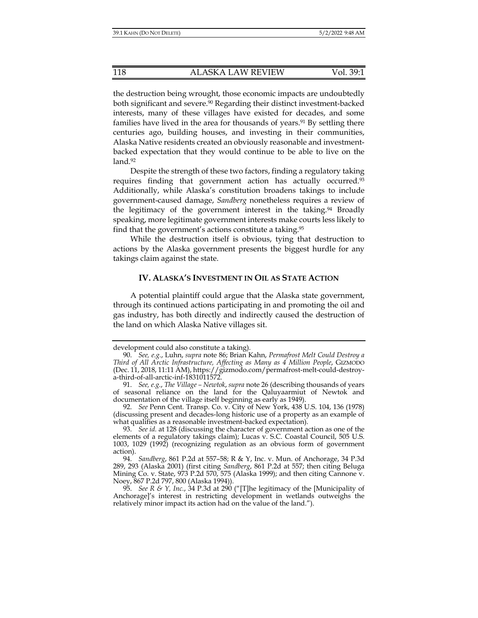the destruction being wrought, those economic impacts are undoubtedly both significant and severe.90 Regarding their distinct investment-backed interests, many of these villages have existed for decades, and some families have lived in the area for thousands of years.<sup>91</sup> By settling there centuries ago, building houses, and investing in their communities, Alaska Native residents created an obviously reasonable and investmentbacked expectation that they would continue to be able to live on the land.92

Despite the strength of these two factors, finding a regulatory taking requires finding that government action has actually occurred.93 Additionally, while Alaska's constitution broadens takings to include government-caused damage, *Sandberg* nonetheless requires a review of the legitimacy of the government interest in the taking.<sup>94</sup> Broadly speaking, more legitimate government interests make courts less likely to find that the government's actions constitute a taking.95

While the destruction itself is obvious, tying that destruction to actions by the Alaska government presents the biggest hurdle for any takings claim against the state.

## **IV. ALASKA'S INVESTMENT IN OIL AS STATE ACTION**

A potential plaintiff could argue that the Alaska state government, through its continued actions participating in and promoting the oil and gas industry, has both directly and indirectly caused the destruction of the land on which Alaska Native villages sit.

development could also constitute a taking).

 <sup>90.</sup> *See, e.g.*, Luhn, *supra* note 86; Brian Kahn, *Permafrost Melt Could Destroy a Third of All Arctic Infrastructure, Affecting as Many as 4 Million People*, GIZMODO (Dec. 11, 2018, 11:11 AM), https://gizmodo.com/permafrost-melt-could-destroya-third-of-all-arctic-inf-1831011572.

 <sup>91.</sup> *See, e.g.*, *The Village – Newtok*, *supra* note 26 (describing thousands of years of seasonal reliance on the land for the Qaluyaarmiut of Newtok and documentation of the village itself beginning as early as 1949).

 <sup>92.</sup> *See* Penn Cent. Transp. Co. v. City of New York, 438 U.S. 104, 136 (1978) (discussing present and decades-long historic use of a property as an example of what qualifies as a reasonable investment-backed expectation).

 <sup>93.</sup> *See id.* at 128 (discussing the character of government action as one of the elements of a regulatory takings claim); Lucas v. S.C. Coastal Council, 505 U.S. 1003, 1029 (1992) (recognizing regulation as an obvious form of government action).

 <sup>94.</sup> *Sandberg*, 861 P.2d at 557–58; R & Y, Inc. v. Mun. of Anchorage, 34 P.3d 289, 293 (Alaska 2001) (first citing *Sandberg*, 861 P.2d at 557; then citing Beluga Mining Co. v. State, 973 P.2d 570, 575 (Alaska 1999); and then citing Cannone v. Noey, 867 P.2d 797, 800 (Alaska 1994)).

<sup>95.</sup> *See R & Y, Inc.*, 34 P.3d at 290 ("[T]he legitimacy of the [Municipality of Anchorage]'s interest in restricting development in wetlands outweighs the relatively minor impact its action had on the value of the land.").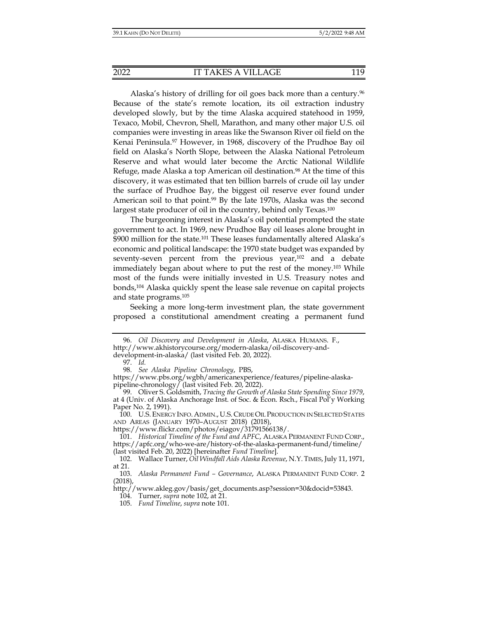Alaska's history of drilling for oil goes back more than a century.<sup>96</sup> Because of the state's remote location, its oil extraction industry developed slowly, but by the time Alaska acquired statehood in 1959, Texaco, Mobil, Chevron, Shell, Marathon, and many other major U.S. oil companies were investing in areas like the Swanson River oil field on the Kenai Peninsula.97 However, in 1968, discovery of the Prudhoe Bay oil field on Alaska's North Slope, between the Alaska National Petroleum Reserve and what would later become the Arctic National Wildlife Refuge, made Alaska a top American oil destination.<sup>98</sup> At the time of this discovery, it was estimated that ten billion barrels of crude oil lay under the surface of Prudhoe Bay, the biggest oil reserve ever found under American soil to that point.<sup>99</sup> By the late 1970s, Alaska was the second largest state producer of oil in the country, behind only Texas.<sup>100</sup>

The burgeoning interest in Alaska's oil potential prompted the state government to act. In 1969, new Prudhoe Bay oil leases alone brought in \$900 million for the state.101 These leases fundamentally altered Alaska's economic and political landscape: the 1970 state budget was expanded by seventy-seven percent from the previous year,<sup>102</sup> and a debate immediately began about where to put the rest of the money.103 While most of the funds were initially invested in U.S. Treasury notes and bonds,104 Alaska quickly spent the lease sale revenue on capital projects and state programs.105

Seeking a more long-term investment plan, the state government proposed a constitutional amendment creating a permanent fund

https://www.flickr.com/photos/eiagov/31791566138/.

 101. *Historical Timeline of the Fund and APFC*, ALASKA PERMANENT FUND CORP., https://apfc.org/who-we-are/history-of-the-alaska-permanent-fund/timeline/ (last visited Feb. 20, 2022) [hereinafter *Fund Timeline*].

http://www.akleg.gov/basis/get\_documents.asp?session=30&docid=53843.

 <sup>96.</sup> *Oil Discovery and Development in Alaska*, ALASKA HUMANS. F., http://www.akhistorycourse.org/modern-alaska/oil-discovery-and-

development-in-alaska/ (last visited Feb. 20, 2022).

 <sup>97.</sup> *Id.* 

 <sup>98.</sup> *See Alaska Pipeline Chronology*, PBS,

https://www.pbs.org/wgbh/americanexperience/features/pipeline-alaskapipeline-chronology/ (last visited Feb. 20, 2022).

 <sup>99.</sup> Oliver S. Goldsmith, *Tracing the Growth of Alaska State Spending Since 1979*, at 4 (Univ. of Alaska Anchorage Inst. of Soc. & Econ. Rsch., Fiscal Pol'y Working Paper No. 2, 1991).

 <sup>100.</sup> U.S.ENERGY INFO. ADMIN., U.S. CRUDE OIL PRODUCTION IN SELECTED STATES AND AREAS (JANUARY 1970–AUGUST 2018) (2018),

 <sup>102.</sup> Wallace Turner, *Oil Windfall Aids Alaska Revenue*, N.Y. TIMES, July 11, 1971, at 21.

 <sup>103.</sup> *Alaska Permanent Fund – Governance*, ALASKA PERMANENT FUND CORP. 2 (2018),

 <sup>104.</sup> Turner, *supra* note 102, at 21.

 <sup>105.</sup> *Fund Timeline*, *supra* note 101.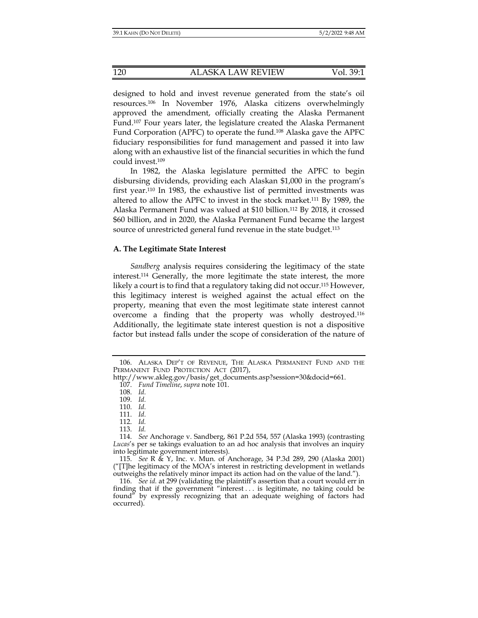designed to hold and invest revenue generated from the state's oil resources.106 In November 1976, Alaska citizens overwhelmingly approved the amendment, officially creating the Alaska Permanent Fund.107 Four years later, the legislature created the Alaska Permanent Fund Corporation (APFC) to operate the fund.108 Alaska gave the APFC fiduciary responsibilities for fund management and passed it into law along with an exhaustive list of the financial securities in which the fund could invest.109

In 1982, the Alaska legislature permitted the APFC to begin disbursing dividends, providing each Alaskan \$1,000 in the program's first year.110 In 1983, the exhaustive list of permitted investments was altered to allow the APFC to invest in the stock market.111 By 1989, the Alaska Permanent Fund was valued at \$10 billion.112 By 2018, it crossed \$60 billion, and in 2020, the Alaska Permanent Fund became the largest source of unrestricted general fund revenue in the state budget.<sup>113</sup>

## **A. The Legitimate State Interest**

*Sandberg* analysis requires considering the legitimacy of the state interest.114 Generally, the more legitimate the state interest, the more likely a court is to find that a regulatory taking did not occur.115 However, this legitimacy interest is weighed against the actual effect on the property, meaning that even the most legitimate state interest cannot overcome a finding that the property was wholly destroyed.116 Additionally, the legitimate state interest question is not a dispositive factor but instead falls under the scope of consideration of the nature of

 <sup>106.</sup> ALASKA DEP'T OF REVENUE, THE ALASKA PERMANENT FUND AND THE PERMANENT FUND PROTECTION ACT (2017),

http://www.akleg.gov/basis/get\_documents.asp?session=30&docid=661.

 <sup>107.</sup> *Fund Timeline*, *supra* note 101.

 <sup>108.</sup> *Id.*

 <sup>109.</sup> *Id.*

 <sup>110.</sup> *Id.*

 <sup>111.</sup> *Id.*

 <sup>112.</sup> *Id.* 

 <sup>113.</sup> *Id.* 

 <sup>114.</sup> *See* Anchorage v. Sandberg, 861 P.2d 554, 557 (Alaska 1993) (contrasting *Lucas*'s per se takings evaluation to an ad hoc analysis that involves an inquiry into legitimate government interests).

 <sup>115.</sup> *See* R & Y, Inc. v. Mun. of Anchorage, 34 P.3d 289, 290 (Alaska 2001) ("[T]he legitimacy of the MOA's interest in restricting development in wetlands outweighs the relatively minor impact its action had on the value of the land.").

 <sup>116.</sup> *See id.* at 299 (validating the plaintiff's assertion that a court would err in finding that if the government "interest . . . is legitimate, no taking could be found" by expressly recognizing that an adequate weighing of factors had occurred).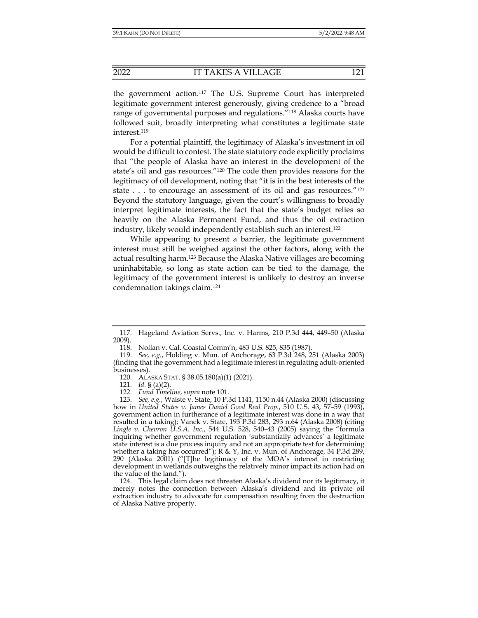the government action.117 The U.S. Supreme Court has interpreted legitimate government interest generously, giving credence to a "broad range of governmental purposes and regulations."118 Alaska courts have followed suit, broadly interpreting what constitutes a legitimate state interest.119

For a potential plaintiff, the legitimacy of Alaska's investment in oil would be difficult to contest. The state statutory code explicitly proclaims that "the people of Alaska have an interest in the development of the state's oil and gas resources."120 The code then provides reasons for the legitimacy of oil development, noting that "it is in the best interests of the state . . . to encourage an assessment of its oil and gas resources.<sup>"121</sup> Beyond the statutory language, given the court's willingness to broadly interpret legitimate interests, the fact that the state's budget relies so heavily on the Alaska Permanent Fund, and thus the oil extraction industry, likely would independently establish such an interest.122

While appearing to present a barrier, the legitimate government interest must still be weighed against the other factors, along with the actual resulting harm.123 Because the Alaska Native villages are becoming uninhabitable, so long as state action can be tied to the damage, the legitimacy of the government interest is unlikely to destroy an inverse condemnation takings claim.124

 <sup>117.</sup> Hageland Aviation Servs., Inc. v. Harms, 210 P.3d 444, 449–50 (Alaska 2009).

 <sup>118.</sup> Nollan v. Cal. Coastal Comm'n, 483 U.S. 825, 835 (1987).

 <sup>119.</sup> *See, e.g.*, Holding v. Mun. of Anchorage, 63 P.3d 248, 251 (Alaska 2003) (finding that the government had a legitimate interest in regulating adult-oriented businesses).

 <sup>120.</sup> ALASKA STAT. § 38.05.180(a)(1) (2021).

 <sup>121.</sup> *Id.* § (a)(2).

 <sup>122.</sup> *Fund Timeline*, *supra* note 101.

 <sup>123.</sup> *See, e.g.*, Waiste v. State, 10 P.3d 1141, 1150 n.44 (Alaska 2000) (discussing how in *United States v. James Daniel Good Real Prop.*, 510 U.S. 43, 57–59 (1993), government action in furtherance of a legitimate interest was done in a way that resulted in a taking); Vanek v. State, 193 P.3d 283, 293 n.64 (Alaska 2008) (citing *Lingle v. Chevron U.S.A. Inc.*, 544 U.S. 528, 540–43 (2005) saying the "formula inquiring whether government regulation 'substantially advances' a legitimate state interest is a due process inquiry and not an appropriate test for determining whether a taking has occurred");  $R \& Y$ , Inc. v. Mun. of Anchorage, 34 P.3d 289, 290 (Alaska 2001) ("[T]he legitimacy of the MOA's interest in restricting development in wetlands outweighs the relatively minor impact its action had on the value of the land.").

 <sup>124.</sup> This legal claim does not threaten Alaska's dividend nor its legitimacy, it merely notes the connection between Alaska's dividend and its private oil extraction industry to advocate for compensation resulting from the destruction of Alaska Native property.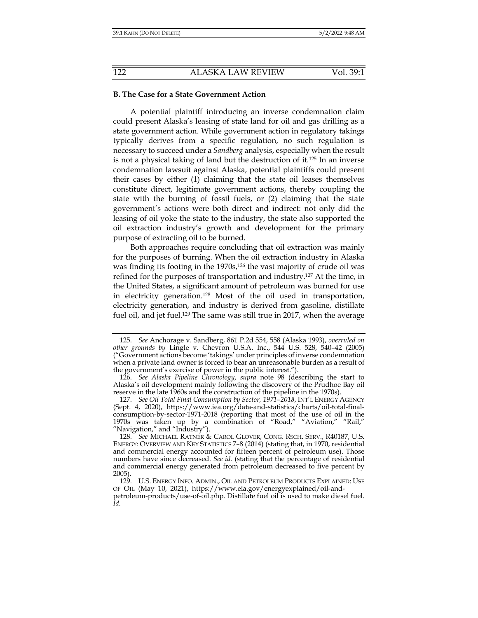### **B. The Case for a State Government Action**

A potential plaintiff introducing an inverse condemnation claim could present Alaska's leasing of state land for oil and gas drilling as a state government action. While government action in regulatory takings typically derives from a specific regulation, no such regulation is necessary to succeed under a *Sandberg* analysis, especially when the result is not a physical taking of land but the destruction of it.125 In an inverse condemnation lawsuit against Alaska, potential plaintiffs could present their cases by either (1) claiming that the state oil leases themselves constitute direct, legitimate government actions, thereby coupling the state with the burning of fossil fuels, or (2) claiming that the state government's actions were both direct and indirect: not only did the leasing of oil yoke the state to the industry, the state also supported the oil extraction industry's growth and development for the primary purpose of extracting oil to be burned.

Both approaches require concluding that oil extraction was mainly for the purposes of burning. When the oil extraction industry in Alaska was finding its footing in the 1970s,<sup>126</sup> the vast majority of crude oil was refined for the purposes of transportation and industry.127 At the time, in the United States, a significant amount of petroleum was burned for use in electricity generation.128 Most of the oil used in transportation, electricity generation, and industry is derived from gasoline, distillate fuel oil, and jet fuel.<sup>129</sup> The same was still true in 2017, when the average

 <sup>125.</sup> *See* Anchorage v. Sandberg, 861 P.2d 554, 558 (Alaska 1993), *overruled on other grounds by* Lingle v. Chevron U.S.A. Inc., 544 U.S. 528, 540–42 (2005) ("Government actions become 'takings' under principles of inverse condemnation when a private land owner is forced to bear an unreasonable burden as a result of the government's exercise of power in the public interest.").

 <sup>126.</sup> *See Alaska Pipeline Chronology*, *supra* note 98 (describing the start to Alaska's oil development mainly following the discovery of the Prudhoe Bay oil reserve in the late 1960s and the construction of the pipeline in the 1970s).

 <sup>127.</sup> *See Oil Total Final Consumption by Sector, 1971–2018*, INT'L ENERGY AGENCY (Sept. 4, 2020), https://www.iea.org/data-and-statistics/charts/oil-total-finalconsumption-by-sector-1971-2018 (reporting that most of the use of oil in the 1970s was taken up by a combination of "Road," "Aviation," "Rail," "Navigation," and "Industry").

 <sup>128.</sup> *See* MICHAEL RATNER & CAROL GLOVER, CONG. RSCH. SERV., R40187, U.S. ENERGY: OVERVIEW AND KEY STATISTICS 7–8 (2014) (stating that, in 1970, residential and commercial energy accounted for fifteen percent of petroleum use). Those numbers have since decreased. See id. (stating that the percentage of residential and commercial energy generated from petroleum decreased to five percent by 2005).

<sup>129.</sup> U.S. ENERGY INFO. ADMIN., OIL AND PETROLEUM PRODUCTS EXPLAINED: USE OF OIL (May 10, 2021), https://www.eia.gov/energyexplained/oil-andpetroleum-products/use-of-oil.php. Distillate fuel oil is used to make diesel fuel. *Id.*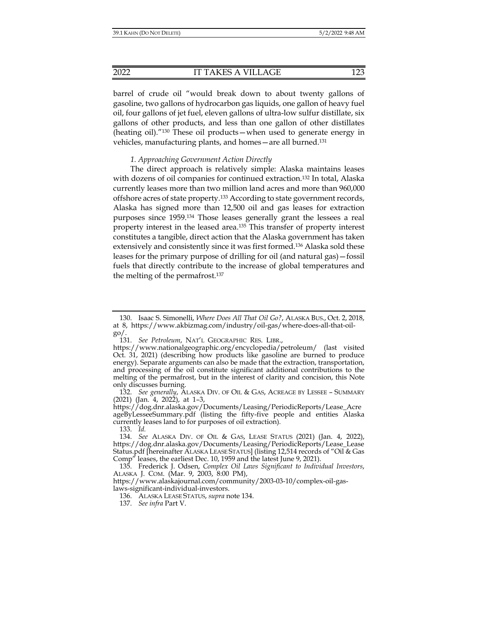barrel of crude oil "would break down to about twenty gallons of gasoline, two gallons of hydrocarbon gas liquids, one gallon of heavy fuel oil, four gallons of jet fuel, eleven gallons of ultra-low sulfur distillate, six gallons of other products, and less than one gallon of other distillates (heating oil)."130 These oil products—when used to generate energy in vehicles, manufacturing plants, and homes—are all burned.131

## *1. Approaching Government Action Directly*

The direct approach is relatively simple: Alaska maintains leases with dozens of oil companies for continued extraction.<sup>132</sup> In total, Alaska currently leases more than two million land acres and more than 960,000 offshore acres of state property.133 According to state government records, Alaska has signed more than 12,500 oil and gas leases for extraction purposes since 1959.134 Those leases generally grant the lessees a real property interest in the leased area.135 This transfer of property interest constitutes a tangible, direct action that the Alaska government has taken extensively and consistently since it was first formed.136 Alaska sold these leases for the primary purpose of drilling for oil (and natural gas)—fossil fuels that directly contribute to the increase of global temperatures and the melting of the permafrost.137

 <sup>130.</sup> Isaac S. Simonelli, *Where Does All That Oil Go?*, ALASKA BUS., Oct. 2, 2018, at 8, https://www.akbizmag.com/industry/oil-gas/where-does-all-that-oilgo/.

 <sup>131.</sup> *See Petroleum*, NAT'L GEOGRAPHIC RES. LIBR.,

https://www.nationalgeographic.org/encyclopedia/petroleum/ (last visited Oct. 31, 2021) (describing how products like gasoline are burned to produce energy). Separate arguments can also be made that the extraction, transportation, and processing of the oil constitute significant additional contributions to the melting of the permafrost, but in the interest of clarity and concision, this Note only discusses burning.

 <sup>132.</sup> *See generally*, ALASKA DIV. OF OIL & GAS, ACREAGE BY LESSEE – SUMMARY (2021) (Jan. 4, 2022), at 1–3,

https://dog.dnr.alaska.gov/Documents/Leasing/PeriodicReports/Lease\_Acre ageByLesseeSummary.pdf (listing the fifty-five people and entities Alaska currently leases land to for purposes of oil extraction).

 <sup>133.</sup> *Id.* 

 <sup>134.</sup> *See* ALASKA DIV. OF OIL & GAS, LEASE STATUS (2021) (Jan. 4, 2022), https://dog.dnr.alaska.gov/Documents/Leasing/PeriodicReports/Lease\_Lease Status.pdf [hereinafter ALASKA LEASE STATUS] (listing 12,514 records of "Oil & Gas Comp" leases, the earliest Dec. 10, 1959 and the latest June 9, 2021).

 <sup>135.</sup> Frederick J. Odsen, *Complex Oil Laws Significant to Individual Investors*, ALASKA J. COM. (Mar. 9, 2003, 8:00 PM),

https://www.alaskajournal.com/community/2003-03-10/complex-oil-gaslaws-significant-individual-investors.

 <sup>136.</sup> ALASKA LEASE STATUS, *supra* note 134.

 <sup>137.</sup> *See infra* Part V.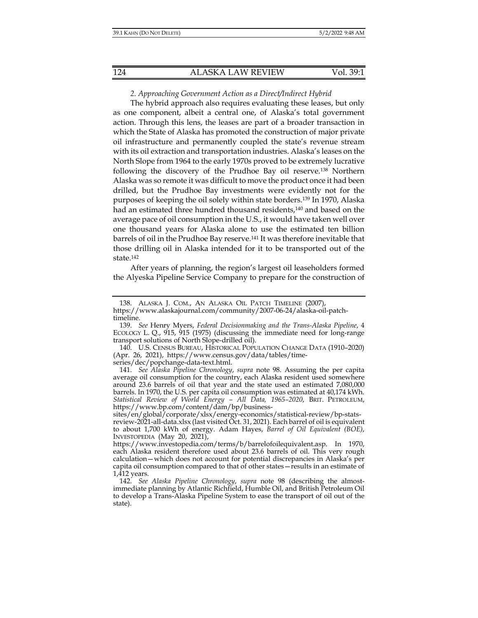## *2. Approaching Government Action as a Direct/Indirect Hybrid*

The hybrid approach also requires evaluating these leases, but only as one component, albeit a central one, of Alaska's total government action. Through this lens, the leases are part of a broader transaction in which the State of Alaska has promoted the construction of major private oil infrastructure and permanently coupled the state's revenue stream with its oil extraction and transportation industries. Alaska's leases on the North Slope from 1964 to the early 1970s proved to be extremely lucrative following the discovery of the Prudhoe Bay oil reserve.138 Northern Alaska was so remote it was difficult to move the product once it had been drilled, but the Prudhoe Bay investments were evidently not for the purposes of keeping the oil solely within state borders.139 In 1970, Alaska had an estimated three hundred thousand residents,140 and based on the average pace of oil consumption in the U.S., it would have taken well over one thousand years for Alaska alone to use the estimated ten billion barrels of oil in the Prudhoe Bay reserve.<sup>141</sup> It was therefore inevitable that those drilling oil in Alaska intended for it to be transported out of the state.142

After years of planning, the region's largest oil leaseholders formed the Alyeska Pipeline Service Company to prepare for the construction of

 <sup>138.</sup> ALASKA J. COM., AN ALASKA OIL PATCH TIMELINE (2007),

https://www.alaskajournal.com/community/2007-06-24/alaska-oil-patchtimeline.

 <sup>139.</sup> *See* Henry Myers, *Federal Decisionmaking and the Trans-Alaska Pipeline*, 4 ECOLOGY L. Q., 915, 915 (1975) (discussing the immediate need for long-range transport solutions of North Slope-drilled oil).

 <sup>140.</sup> U.S. CENSUS BUREAU, HISTORICAL POPULATION CHANGE DATA (1910–2020) (Apr. 26, 2021), https://www.census.gov/data/tables/timeseries/dec/popchange-data-text.html.

 <sup>141.</sup> *See Alaska Pipeline Chronology*, *supra* note 98. Assuming the per capita average oil consumption for the country, each Alaska resident used somewhere around 23.6 barrels of oil that year and the state used an estimated 7,080,000 barrels. In 1970, the U.S. per capita oil consumption was estimated at 40,174 kWh. *Statistical Review of World Energy – All Data, 1965–2020*, BRIT. PETROLEUM, https://www.bp.com/content/dam/bp/business-

sites/en/global/corporate/xlsx/energy-economics/statistical-review/bp-statsreview-2021-all-data.xlsx (last visited Oct. 31, 2021). Each barrel of oil is equivalent to about 1,700 kWh of energy. Adam Hayes, *Barrel of Oil Equivalent (BOE)*, INVESTOPEDIA (May 20, 2021),

https://www.investopedia.com/terms/b/barrelofoilequivalent.asp. In 1970, each Alaska resident therefore used about 23.6 barrels of oil. This very rough calculation—which does not account for potential discrepancies in Alaska's per capita oil consumption compared to that of other states—results in an estimate of 1,412 years.

 <sup>142.</sup> *See Alaska Pipeline Chronology*, *supra* note 98 (describing the almostimmediate planning by Atlantic Richfield, Humble Oil, and British Petroleum Oil to develop a Trans-Alaska Pipeline System to ease the transport of oil out of the state).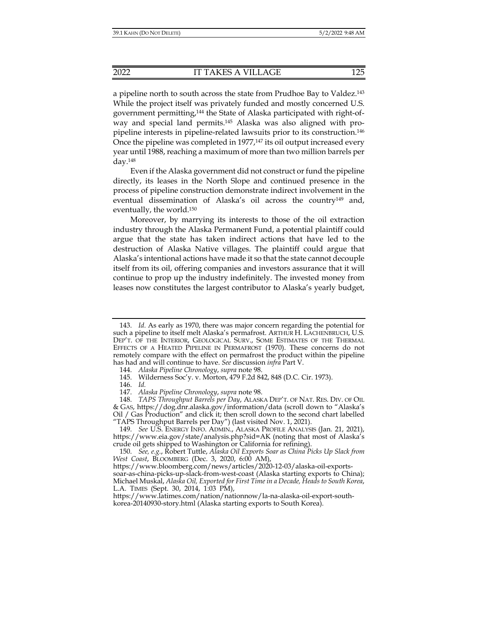a pipeline north to south across the state from Prudhoe Bay to Valdez.143 While the project itself was privately funded and mostly concerned U.S. government permitting,144 the State of Alaska participated with right-ofway and special land permits.145 Alaska was also aligned with propipeline interests in pipeline-related lawsuits prior to its construction.146 Once the pipeline was completed in  $1977<sub>147</sub>$  its oil output increased every year until 1988, reaching a maximum of more than two million barrels per day.148

Even if the Alaska government did not construct or fund the pipeline directly, its leases in the North Slope and continued presence in the process of pipeline construction demonstrate indirect involvement in the eventual dissemination of Alaska's oil across the country149 and, eventually, the world.150

Moreover, by marrying its interests to those of the oil extraction industry through the Alaska Permanent Fund, a potential plaintiff could argue that the state has taken indirect actions that have led to the destruction of Alaska Native villages. The plaintiff could argue that Alaska's intentional actions have made it so that the state cannot decouple itself from its oil, offering companies and investors assurance that it will continue to prop up the industry indefinitely. The invested money from leases now constitutes the largest contributor to Alaska's yearly budget,

 <sup>143.</sup> *Id.* As early as 1970, there was major concern regarding the potential for such a pipeline to itself melt Alaska's permafrost. ARTHUR H. LACHENBRUCH, U.S. DEP'T. OF THE INTERIOR, GEOLOGICAL SURV., SOME ESTIMATES OF THE THERMAL EFFECTS OF A HEATED PIPELINE IN PERMAFROST (1970). These concerns do not remotely compare with the effect on permafrost the product within the pipeline has had and will continue to have. *See* discussion *infra* Part V.

 <sup>144.</sup> *Alaska Pipeline Chronology*, *supra* note 98.

 <sup>145.</sup> Wilderness Soc'y. v. Morton, 479 F.2d 842, 848 (D.C. Cir. 1973).

 <sup>146.</sup> *Id.* 

 <sup>147.</sup> *Alaska Pipeline Chronology*, *supra* note 98.

 <sup>148.</sup> *TAPS Throughput Barrels per Day*, ALASKA DEP'T. OF NAT. RES. DIV. OF OIL & GAS, https://dog.dnr.alaska.gov/information/data (scroll down to "Alaska's Oil / Gas Production" and click it; then scroll down to the second chart labelled "TAPS Throughput Barrels per Day") (last visited Nov. 1, 2021).

 <sup>149.</sup> *See* U.S. ENERGY INFO. ADMIN., ALASKA PROFILE ANALYSIS (Jan. 21, 2021), https://www.eia.gov/state/analysis.php?sid=AK (noting that most of Alaska's crude oil gets shipped to Washington or California for refining).

 <sup>150.</sup> *See, e.g.*, Robert Tuttle, *Alaska Oil Exports Soar as China Picks Up Slack from West Coast*, BLOOMBERG (Dec. 3, 2020, 6:00 AM),

https://www.bloomberg.com/news/articles/2020-12-03/alaska-oil-exports-

soar-as-china-picks-up-slack-from-west-coast (Alaska starting exports to China); Michael Muskal, *Alaska Oil, Exported for First Time in a Decade, Heads to South Korea*, L.A. TIMES (Sept. 30, 2014, 1:03 PM),

https://www.latimes.com/nation/nationnow/la-na-alaska-oil-export-southkorea-20140930-story.html (Alaska starting exports to South Korea).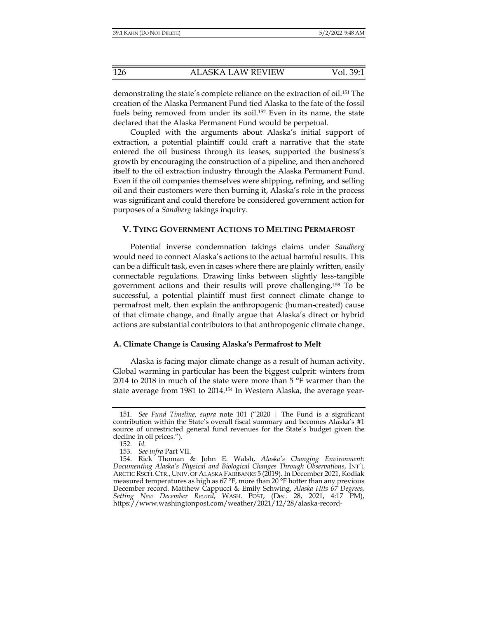demonstrating the state's complete reliance on the extraction of oil.<sup>151</sup> The creation of the Alaska Permanent Fund tied Alaska to the fate of the fossil fuels being removed from under its soil.<sup>152</sup> Even in its name, the state declared that the Alaska Permanent Fund would be perpetual.

Coupled with the arguments about Alaska's initial support of extraction, a potential plaintiff could craft a narrative that the state entered the oil business through its leases, supported the business's growth by encouraging the construction of a pipeline, and then anchored itself to the oil extraction industry through the Alaska Permanent Fund. Even if the oil companies themselves were shipping, refining, and selling oil and their customers were then burning it, Alaska's role in the process was significant and could therefore be considered government action for purposes of a *Sandberg* takings inquiry.

## **V. TYING GOVERNMENT ACTIONS TO MELTING PERMAFROST**

Potential inverse condemnation takings claims under *Sandberg* would need to connect Alaska's actions to the actual harmful results. This can be a difficult task, even in cases where there are plainly written, easily connectable regulations. Drawing links between slightly less-tangible government actions and their results will prove challenging.153 To be successful, a potential plaintiff must first connect climate change to permafrost melt, then explain the anthropogenic (human-created) cause of that climate change, and finally argue that Alaska's direct or hybrid actions are substantial contributors to that anthropogenic climate change.

## **A. Climate Change is Causing Alaska's Permafrost to Melt**

Alaska is facing major climate change as a result of human activity. Global warming in particular has been the biggest culprit: winters from 2014 to 2018 in much of the state were more than 5 °F warmer than the state average from 1981 to 2014.154 In Western Alaska, the average year-

 <sup>151.</sup> *See Fund Timeline*, *supra* note 101 ("2020 | The Fund is a significant contribution within the State's overall fiscal summary and becomes Alaska's #1 source of unrestricted general fund revenues for the State's budget given the decline in oil prices.").

 <sup>152.</sup> *Id.* 

 <sup>153.</sup> *See infra* Part VII.

 <sup>154.</sup> Rick Thoman & John E. Walsh, *Alaska's Changing Environment: Documenting Alaska's Physical and Biological Changes Through Observations*, INT'L ARCTIC RSCH. CTR., UNIV. OF ALASKA FAIRBANKS 5 (2019). In December 2021, Kodiak measured temperatures as high as 67 °F, more than 20 °F hotter than any previous December record. Matthew Cappucci & Emily Schwing, *Alaska Hits 67 Degrees, Setting New December Record*, WASH. POST, (Dec. 28, 2021, 4:17 PM), https://www.washingtonpost.com/weather/2021/12/28/alaska-record-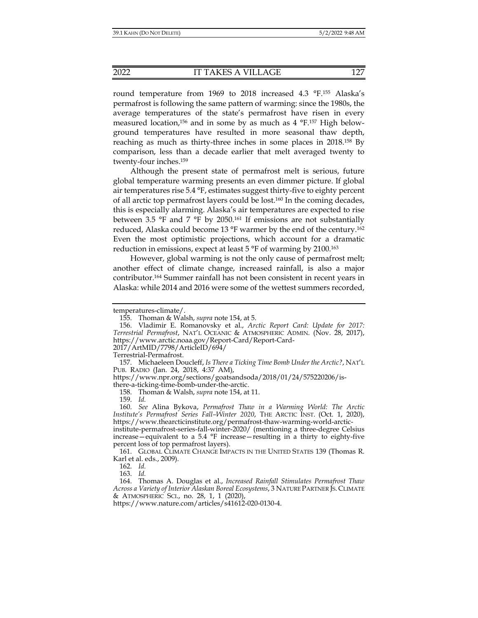round temperature from 1969 to 2018 increased 4.3 °F.155 Alaska's permafrost is following the same pattern of warming: since the 1980s, the average temperatures of the state's permafrost have risen in every measured location,<sup>156</sup> and in some by as much as  $4 \text{ }^{\circ}F$ ,<sup>157</sup> High belowground temperatures have resulted in more seasonal thaw depth, reaching as much as thirty-three inches in some places in 2018.158 By comparison, less than a decade earlier that melt averaged twenty to twenty-four inches.159

Although the present state of permafrost melt is serious, future global temperature warming presents an even dimmer picture. If global air temperatures rise 5.4 °F, estimates suggest thirty-five to eighty percent of all arctic top permafrost layers could be lost.160 In the coming decades, this is especially alarming. Alaska's air temperatures are expected to rise between 3.5 °F and 7 °F by 2050.161 If emissions are not substantially reduced, Alaska could become 13 °F warmer by the end of the century.162 Even the most optimistic projections, which account for a dramatic reduction in emissions, expect at least 5 °F of warming by 2100.163

However, global warming is not the only cause of permafrost melt; another effect of climate change, increased rainfall, is also a major contributor.164 Summer rainfall has not been consistent in recent years in Alaska: while 2014 and 2016 were some of the wettest summers recorded,

Terrestrial-Permafrost.

159. *Id.* 

 160. *See* Alina Bykova, *Permafrost Thaw in a Warming World: The Arctic Institute's Permafrost Series Fall–Winter 2020*, THE ARCTIC INST. (Oct. 1, 2020), https://www.thearcticinstitute.org/permafrost-thaw-warming-world-arctic-

162. *Id.* 

163. *Id.* 

temperatures-climate/.

 <sup>155.</sup> Thoman & Walsh, *supra* note 154, at 5.

 <sup>156.</sup> Vladimir E. Romanovsky et al., *Arctic Report Card: Update for 2017: Terrestrial Permafrost*, NAT'L OCEANIC & ATMOSPHERIC ADMIN. (Nov. 28, 2017), https://www.arctic.noaa.gov/Report-Card/Report-Card-2017/ArtMID/7798/ArticleID/694/

 <sup>157.</sup> Michaeleen Doucleff, *Is There a Ticking Time Bomb Under the Arctic?*, NAT'L PUB. RADIO (Jan. 24, 2018, 4:37 AM),

https://www.npr.org/sections/goatsandsoda/2018/01/24/575220206/isthere-a-ticking-time-bomb-under-the-arctic.

 <sup>158.</sup> Thoman & Walsh, *supra* note 154, at 11.

institute-permafrost-series-fall-winter-2020/ (mentioning a three-degree Celsius increase—equivalent to a 5.4 °F increase—resulting in a thirty to eighty-five percent loss of top permafrost layers).

 <sup>161.</sup> GLOBAL CLIMATE CHANGE IMPACTS IN THE UNITED STATES 139 (Thomas R. Karl et al. eds., 2009).

 <sup>164.</sup> Thomas A. Douglas et al., *Increased Rainfall Stimulates Permafrost Thaw Across a Variety of Interior Alaskan Boreal Ecosystems*, 3 NATURE PARTNER JS. CLIMATE & ATMOSPHERIC SCI., no. 28, 1, 1 (2020),

https://www.nature.com/articles/s41612-020-0130-4.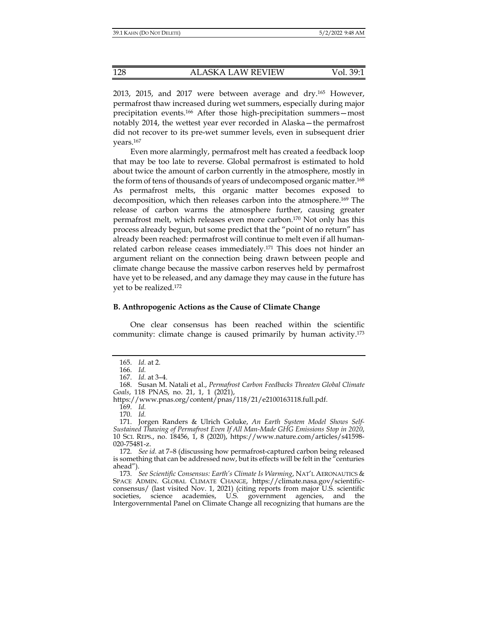2013, 2015, and 2017 were between average and dry.165 However, permafrost thaw increased during wet summers, especially during major precipitation events.166 After those high-precipitation summers—most notably 2014, the wettest year ever recorded in Alaska—the permafrost did not recover to its pre-wet summer levels, even in subsequent drier years.167

Even more alarmingly, permafrost melt has created a feedback loop that may be too late to reverse. Global permafrost is estimated to hold about twice the amount of carbon currently in the atmosphere, mostly in the form of tens of thousands of years of undecomposed organic matter.168 As permafrost melts, this organic matter becomes exposed to decomposition, which then releases carbon into the atmosphere.169 The release of carbon warms the atmosphere further, causing greater permafrost melt, which releases even more carbon.170 Not only has this process already begun, but some predict that the "point of no return" has already been reached: permafrost will continue to melt even if all humanrelated carbon release ceases immediately.<sup>171</sup> This does not hinder an argument reliant on the connection being drawn between people and climate change because the massive carbon reserves held by permafrost have yet to be released, and any damage they may cause in the future has yet to be realized.172

## **B. Anthropogenic Actions as the Cause of Climate Change**

One clear consensus has been reached within the scientific community: climate change is caused primarily by human activity.173

169. *Id.* 

 <sup>165.</sup> *Id.* at 2.

 <sup>166.</sup> *Id.* 

 <sup>167.</sup> *Id.* at 3–4.

 <sup>168.</sup> Susan M. Natali et al., *Permafrost Carbon Feedbacks Threaten Global Climate Goals*, 118 PNAS, no. 21, 1, 1 (2021),

https://www.pnas.org/content/pnas/118/21/e2100163118.full.pdf.

 <sup>170.</sup> *Id.* 

 <sup>171.</sup> Jorgen Randers & Ulrich Goluke, *An Earth System Model Shows Self-Sustained Thawing of Permafrost Even If All Man-Made GHG Emissions Stop in 2020*, 10 SCI. REPS., no. 18456, 1, 8 (2020), https://www.nature.com/articles/s41598- 020-75481-z.

 <sup>172.</sup> *See id.* at 7–8 (discussing how permafrost-captured carbon being released is something that can be addressed now, but its effects will be felt in the  $n$  centuries ahead").

 <sup>173.</sup> *See Scientific Consensus: Earth's Climate Is Warming*, NAT'L AERONAUTICS & SPACE ADMIN. GLOBAL CLIMATE CHANGE, https://climate.nasa.gov/scientificconsensus/ (last visited Nov. 1, 2021) (citing reports from major U.S. scientific societies, science academies, U.S. government agencies, and the Intergovernmental Panel on Climate Change all recognizing that humans are the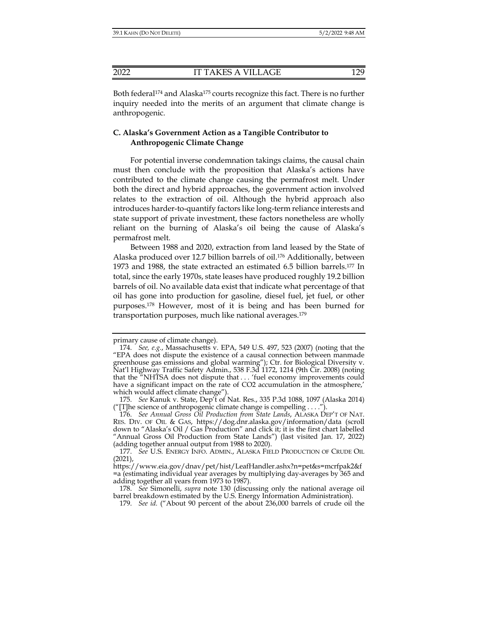Both federal<sup>174</sup> and Alaska<sup>175</sup> courts recognize this fact. There is no further inquiry needed into the merits of an argument that climate change is anthropogenic.

## **C. Alaska's Government Action as a Tangible Contributor to Anthropogenic Climate Change**

For potential inverse condemnation takings claims, the causal chain must then conclude with the proposition that Alaska's actions have contributed to the climate change causing the permafrost melt. Under both the direct and hybrid approaches, the government action involved relates to the extraction of oil. Although the hybrid approach also introduces harder-to-quantify factors like long-term reliance interests and state support of private investment, these factors nonetheless are wholly reliant on the burning of Alaska's oil being the cause of Alaska's permafrost melt.

Between 1988 and 2020, extraction from land leased by the State of Alaska produced over 12.7 billion barrels of oil.176 Additionally, between 1973 and 1988, the state extracted an estimated 6.5 billion barrels.177 In total, since the early 1970s, state leases have produced roughly 19.2 billion barrels of oil. No available data exist that indicate what percentage of that oil has gone into production for gasoline, diesel fuel, jet fuel, or other purposes.178 However, most of it is being and has been burned for transportation purposes, much like national averages.179

primary cause of climate change).

 <sup>174.</sup> *See, e.g.*, Massachusetts v. EPA, 549 U.S. 497, 523 (2007) (noting that the "EPA does not dispute the existence of a causal connection between manmade greenhouse gas emissions and global warming"); Ctr. for Biological Diversity v. Nat'l Highway Traffic Safety Admin., 538 F.3d 1172, 1214 (9th Cir. 2008) (noting that the "NHTSA does not dispute that . . . 'fuel economy improvements could have a significant impact on the rate of CO2 accumulation in the atmosphere,' which would affect climate change").

 <sup>175.</sup> *See* Kanuk v. State, Dep't of Nat. Res., 335 P.3d 1088, 1097 (Alaska 2014) ("[T]he science of anthropogenic climate change is compelling  $\dots$ ")

 <sup>176.</sup> *See Annual Gross Oil Production from State Lands*, ALASKA DEP'T OF NAT. RES. DIV. OF OIL & GAS, https://dog.dnr.alaska.gov/information/data (scroll down to "Alaska's Oil / Gas Production" and click it; it is the first chart labelled "Annual Gross Oil Production from State Lands") (last visited Jan. 17, 2022) (adding together annual output from 1988 to 2020).

 <sup>177.</sup> *See* U.S. ENERGY INFO. ADMIN., ALASKA FIELD PRODUCTION OF CRUDE OIL (2021),

https://www.eia.gov/dnav/pet/hist/LeafHandler.ashx?n=pet&s=mcrfpak2&f =a (estimating individual year averages by multiplying day-averages by 365 and adding together all years from 1973 to 1987).

 <sup>178.</sup> *See* Simonelli, *supra* note 130 (discussing only the national average oil barrel breakdown estimated by the U.S. Energy Information Administration).

 <sup>179.</sup> *See id.* ("About 90 percent of the about 236,000 barrels of crude oil the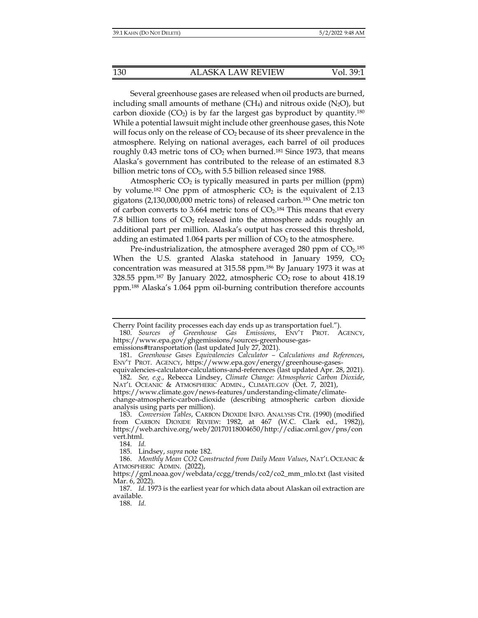Several greenhouse gases are released when oil products are burned, including small amounts of methane  $(CH_4)$  and nitrous oxide  $(N_2O)$ , but carbon dioxide  $(CO_2)$  is by far the largest gas byproduct by quantity.<sup>180</sup> While a potential lawsuit might include other greenhouse gases, this Note will focus only on the release of  $CO<sub>2</sub>$  because of its sheer prevalence in the atmosphere. Relying on national averages, each barrel of oil produces roughly 0.43 metric tons of  $CO<sub>2</sub>$  when burned.<sup>181</sup> Since 1973, that means Alaska's government has contributed to the release of an estimated 8.3 billion metric tons of  $CO<sub>2</sub>$ , with 5.5 billion released since 1988.

Atmospheric  $CO<sub>2</sub>$  is typically measured in parts per million (ppm) by volume.<sup>182</sup> One ppm of atmospheric  $CO<sub>2</sub>$  is the equivalent of 2.13 gigatons (2,130,000,000 metric tons) of released carbon.183 One metric ton of carbon converts to 3.664 metric tons of  $CO<sub>2</sub>$ .<sup>184</sup> This means that every 7.8 billion tons of  $CO<sub>2</sub>$  released into the atmosphere adds roughly an additional part per million. Alaska's output has crossed this threshold, adding an estimated 1.064 parts per million of  $CO<sub>2</sub>$  to the atmosphere.

Pre-industrialization, the atmosphere averaged 280 ppm of  $CO<sub>2</sub>$ .<sup>185</sup> When the U.S. granted Alaska statehood in January 1959,  $CO<sub>2</sub>$ concentration was measured at 315.58 ppm.186 By January 1973 it was at 328.55 ppm.<sup>187</sup> By January 2022, atmospheric  $CO_2$  rose to about 418.19 ppm.188 Alaska's 1.064 ppm oil-burning contribution therefore accounts

188. *Id.*

Cherry Point facility processes each day ends up as transportation fuel.").

 <sup>180.</sup> *Sources of Greenhouse Gas Emissions*, ENV'T PROT. AGENCY, https://www.epa.gov/ghgemissions/sources-greenhouse-gasemissions#transportation (last updated July 27, 2021).

 <sup>181.</sup> *Greenhouse Gases Equivalencies Calculator – Calculations and References*,

ENV'T PROT. AGENCY, https://www.epa.gov/energy/greenhouse-gasesequivalencies-calculator-calculations-and-references (last updated Apr. 28, 2021).

 <sup>182.</sup> *See, e.g.*, Rebecca Lindsey, *Climate Change: Atmospheric Carbon Dioxide*, NAT'L OCEANIC & ATMOSPHERIC ADMIN., CLIMATE.GOV (Oct. 7, 2021),

https://www.climate.gov/news-features/understanding-climate/climate-

change-atmospheric-carbon-dioxide (describing atmospheric carbon dioxide analysis using parts per million).

<sup>183.</sup> *Conversion Tables, CARBON DIOXIDE INFO. ANALYSIS CTR. (1990) (modified* from CARBON DIOXIDE REVIEW: 1982, at 467 (W.C. Clark ed., 1982)), https://web.archive.org/web/20170118004650/http://cdiac.ornl.gov/pns/con vert.html.

 <sup>184.</sup> *Id.* 

 <sup>185.</sup> Lindsey, *supra* note 182.

 <sup>186.</sup> *Monthly Mean CO2 Constructed from Daily Mean Values*, NAT'L OCEANIC & ATMOSPHERIC ADMIN. (2022),

https://gml.noaa.gov/webdata/ccgg/trends/co2/co2\_mm\_mlo.txt (last visited Mar. 6, 2022).

 <sup>187.</sup> *Id.* 1973 is the earliest year for which data about Alaskan oil extraction are available.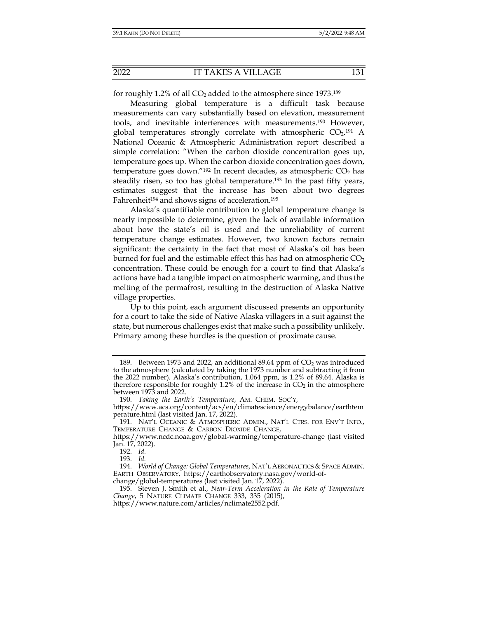for roughly 1.2% of all  $CO<sub>2</sub>$  added to the atmosphere since 1973.<sup>189</sup>

Measuring global temperature is a difficult task because measurements can vary substantially based on elevation, measurement tools, and inevitable interferences with measurements.190 However, global temperatures strongly correlate with atmospheric  $CO<sub>2</sub>$ .<sup>191</sup> A National Oceanic & Atmospheric Administration report described a simple correlation: "When the carbon dioxide concentration goes up, temperature goes up. When the carbon dioxide concentration goes down, temperature goes down."<sup>192</sup> In recent decades, as atmospheric  $CO<sub>2</sub>$  has steadily risen, so too has global temperature.193 In the past fifty years, estimates suggest that the increase has been about two degrees Fahrenheit<sup>194</sup> and shows signs of acceleration.<sup>195</sup>

Alaska's quantifiable contribution to global temperature change is nearly impossible to determine, given the lack of available information about how the state's oil is used and the unreliability of current temperature change estimates. However, two known factors remain significant: the certainty in the fact that most of Alaska's oil has been burned for fuel and the estimable effect this has had on atmospheric  $CO<sub>2</sub>$ concentration. These could be enough for a court to find that Alaska's actions have had a tangible impact on atmospheric warming, and thus the melting of the permafrost, resulting in the destruction of Alaska Native village properties.

Up to this point, each argument discussed presents an opportunity for a court to take the side of Native Alaska villagers in a suit against the state, but numerous challenges exist that make such a possibility unlikely. Primary among these hurdles is the question of proximate cause.

<sup>189.</sup> Between 1973 and 2022, an additional 89.64 ppm of  $CO<sub>2</sub>$  was introduced to the atmosphere (calculated by taking the 1973 number and subtracting it from the 2022 number). Alaska's contribution, 1.064 ppm, is 1.2% of 89.64. Alaska is therefore responsible for roughly 1.2% of the increase in  $CO<sub>2</sub>$  in the atmosphere between 1973 and 2022.

 <sup>190.</sup> *Taking the Earth's Temperature*, AM. CHEM. SOC'Y,

https://www.acs.org/content/acs/en/climatescience/energybalance/earthtem perature.html (last visited Jan. 17, 2022).

 <sup>191.</sup> NAT'L OCEANIC & ATMOSPHERIC ADMIN., NAT'L CTRS. FOR ENV'T INFO., TEMPERATURE CHANGE & CARBON DIOXIDE CHANGE,

https://www.ncdc.noaa.gov/global-warming/temperature-change (last visited Jan. 17, 2022).

 <sup>192.</sup> *Id.*

 <sup>193.</sup> *Id.* 

 <sup>194.</sup> *World of Change: Global Temperatures*, NAT'L AERONAUTICS & SPACE ADMIN. EARTH OBSERVATORY, https://earthobservatory.nasa.gov/world-ofchange/global-temperatures (last visited Jan. 17, 2022).

 <sup>195.</sup> Steven J. Smith et al., *Near-Term Acceleration in the Rate of Temperature Change*, 5 NATURE CLIMATE CHANGE 333, 335 (2015),

https://www.nature.com/articles/nclimate2552.pdf.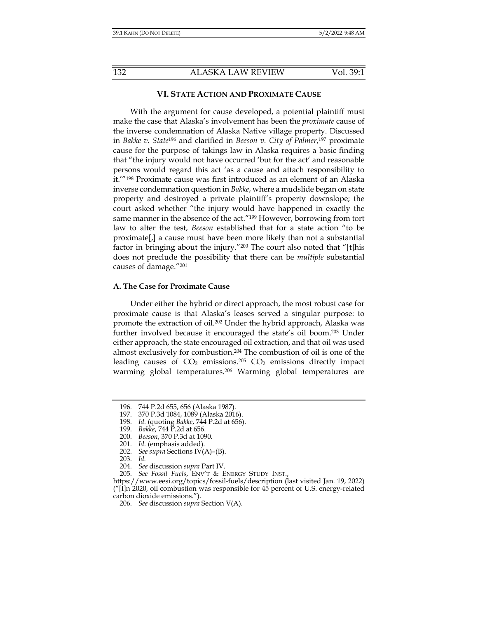### **VI. STATE ACTION AND PROXIMATE CAUSE**

With the argument for cause developed, a potential plaintiff must make the case that Alaska's involvement has been the *proximate* cause of the inverse condemnation of Alaska Native village property. Discussed in *Bakke v. State*196 and clarified in *Beeson v. City of Palmer*, 197 proximate cause for the purpose of takings law in Alaska requires a basic finding that "the injury would not have occurred 'but for the act' and reasonable persons would regard this act 'as a cause and attach responsibility to it.'"198 Proximate cause was first introduced as an element of an Alaska inverse condemnation question in *Bakke*, where a mudslide began on state property and destroyed a private plaintiff's property downslope; the court asked whether "the injury would have happened in exactly the same manner in the absence of the act."<sup>199</sup> However, borrowing from tort law to alter the test, *Beeson* established that for a state action "to be proximate[,] a cause must have been more likely than not a substantial factor in bringing about the injury."200 The court also noted that "[t]his does not preclude the possibility that there can be *multiple* substantial causes of damage."201

## **A. The Case for Proximate Cause**

Under either the hybrid or direct approach, the most robust case for proximate cause is that Alaska's leases served a singular purpose: to promote the extraction of oil.202 Under the hybrid approach, Alaska was further involved because it encouraged the state's oil boom.203 Under either approach, the state encouraged oil extraction, and that oil was used almost exclusively for combustion.204 The combustion of oil is one of the leading causes of  $CO<sub>2</sub>$  emissions.<sup>205</sup>  $CO<sub>2</sub>$  emissions directly impact warming global temperatures.<sup>206</sup> Warming global temperatures are

- 197. 370 P.3d 1084, 1089 (Alaska 2016).
- 198. *Id.* (quoting *Bakke*, 744 P.2d at 656).
- 199. *Bakke*, 744 P.2d at 656.
- 200. *Beeson*, 370 P.3d at 1090.
	- 201. *Id.* (emphasis added).
- 202. *See supra* Sections IV(A)–(B).
- 203. *Id.* 
	- 204. *See* discussion *supra* Part IV.
- 205. *See Fossil Fuels*, ENV'T & ENERGY STUDY INST.,

 <sup>196. 744</sup> P.2d 655, 656 (Alaska 1987).

https://www.eesi.org/topics/fossil-fuels/description (last visited Jan. 19, 2022)  $\frac{1}{\ln 2020}$ , oil combustion was responsible for 45 percent of U.S. energy-related carbon dioxide emissions.").

 <sup>206.</sup> *See* discussion *supra* Section V(A).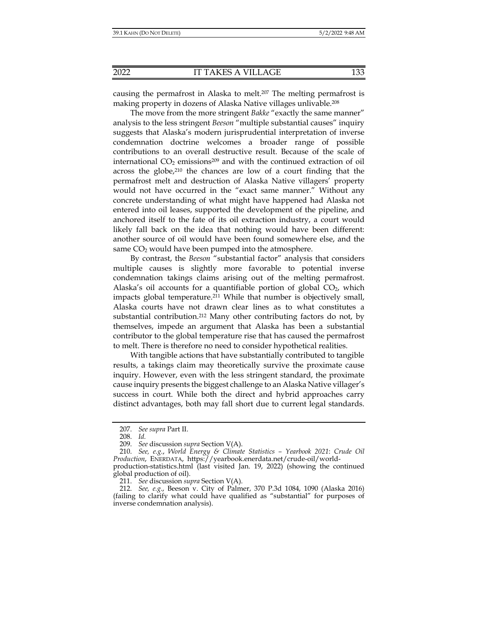causing the permafrost in Alaska to melt.<sup>207</sup> The melting permafrost is making property in dozens of Alaska Native villages unlivable.208

The move from the more stringent *Bakke* "exactly the same manner" analysis to the less stringent *Beeson* "multiple substantial causes" inquiry suggests that Alaska's modern jurisprudential interpretation of inverse condemnation doctrine welcomes a broader range of possible contributions to an overall destructive result. Because of the scale of international  $CO<sub>2</sub>$  emissions<sup>209</sup> and with the continued extraction of oil across the globe,<sup>210</sup> the chances are low of a court finding that the permafrost melt and destruction of Alaska Native villagers' property would not have occurred in the "exact same manner." Without any concrete understanding of what might have happened had Alaska not entered into oil leases, supported the development of the pipeline, and anchored itself to the fate of its oil extraction industry, a court would likely fall back on the idea that nothing would have been different: another source of oil would have been found somewhere else, and the same  $CO<sub>2</sub>$  would have been pumped into the atmosphere.

By contrast, the *Beeson* "substantial factor" analysis that considers multiple causes is slightly more favorable to potential inverse condemnation takings claims arising out of the melting permafrost. Alaska's oil accounts for a quantifiable portion of global  $CO<sub>2</sub>$ , which impacts global temperature.<sup>211</sup> While that number is objectively small, Alaska courts have not drawn clear lines as to what constitutes a substantial contribution.212 Many other contributing factors do not, by themselves, impede an argument that Alaska has been a substantial contributor to the global temperature rise that has caused the permafrost to melt. There is therefore no need to consider hypothetical realities.

With tangible actions that have substantially contributed to tangible results, a takings claim may theoretically survive the proximate cause inquiry. However, even with the less stringent standard, the proximate cause inquiry presents the biggest challenge to an Alaska Native villager's success in court. While both the direct and hybrid approaches carry distinct advantages, both may fall short due to current legal standards.

 <sup>207.</sup> *See supra* Part II.

 <sup>208.</sup> *Id.* 

 <sup>209.</sup> *See* discussion *supra* Section V(A).

 <sup>210.</sup> *See, e.g.*, *World Energy & Climate Statistics – Yearbook 2021*: *Crude Oil Production*, ENERDATA, https://yearbook.enerdata.net/crude-oil/world-

production-statistics.html (last visited Jan. 19, 2022) (showing the continued global production of oil).

 <sup>211.</sup> *See* discussion *supra* Section V(A).

 <sup>212.</sup> *See, e.g.*, Beeson v. City of Palmer, 370 P.3d 1084, 1090 (Alaska 2016) (failing to clarify what could have qualified as "substantial" for purposes of inverse condemnation analysis).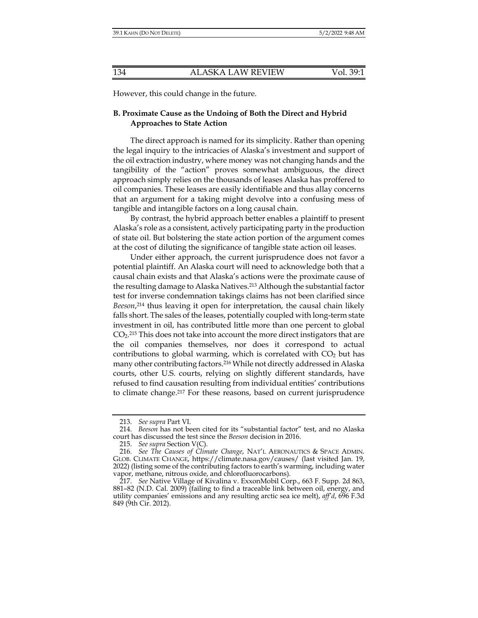However, this could change in the future.

## **B. Proximate Cause as the Undoing of Both the Direct and Hybrid Approaches to State Action**

The direct approach is named for its simplicity. Rather than opening the legal inquiry to the intricacies of Alaska's investment and support of the oil extraction industry, where money was not changing hands and the tangibility of the "action" proves somewhat ambiguous, the direct approach simply relies on the thousands of leases Alaska has proffered to oil companies. These leases are easily identifiable and thus allay concerns that an argument for a taking might devolve into a confusing mess of tangible and intangible factors on a long causal chain.

By contrast, the hybrid approach better enables a plaintiff to present Alaska's role as a consistent, actively participating party in the production of state oil. But bolstering the state action portion of the argument comes at the cost of diluting the significance of tangible state action oil leases.

Under either approach, the current jurisprudence does not favor a potential plaintiff. An Alaska court will need to acknowledge both that a causal chain exists and that Alaska's actions were the proximate cause of the resulting damage to Alaska Natives.<sup>213</sup> Although the substantial factor test for inverse condemnation takings claims has not been clarified since *Beeson*, 214 thus leaving it open for interpretation, the causal chain likely falls short. The sales of the leases, potentially coupled with long-term state investment in oil, has contributed little more than one percent to global CO2.215 This does not take into account the more direct instigators that are the oil companies themselves, nor does it correspond to actual contributions to global warming, which is correlated with  $CO<sub>2</sub>$  but has many other contributing factors.216 While not directly addressed in Alaska courts, other U.S. courts, relying on slightly different standards, have refused to find causation resulting from individual entities' contributions to climate change.217 For these reasons, based on current jurisprudence

 <sup>213.</sup> *See supra* Part VI.

 <sup>214.</sup> *Beeson* has not been cited for its "substantial factor" test, and no Alaska court has discussed the test since the *Beeson* decision in 2016.

 <sup>215.</sup> *See supra* Section V(C).

 <sup>216.</sup> *See The Causes of Climate Change*, NAT'L AERONAUTICS & SPACE ADMIN. GLOB. CLIMATE CHANGE, https://climate.nasa.gov/causes/ (last visited Jan. 19, 2022) (listing some of the contributing factors to earth's warming, including water vapor, methane, nitrous oxide, and chlorofluorocarbons).

 <sup>217.</sup> *See* Native Village of Kivalina v. ExxonMobil Corp., 663 F. Supp. 2d 863, 881–82 (N.D. Cal. 2009) (failing to find a traceable link between oil, energy, and utility companies' emissions and any resulting arctic sea ice melt), *aff'd*, 696 F.3d 849 (9th Cir. 2012).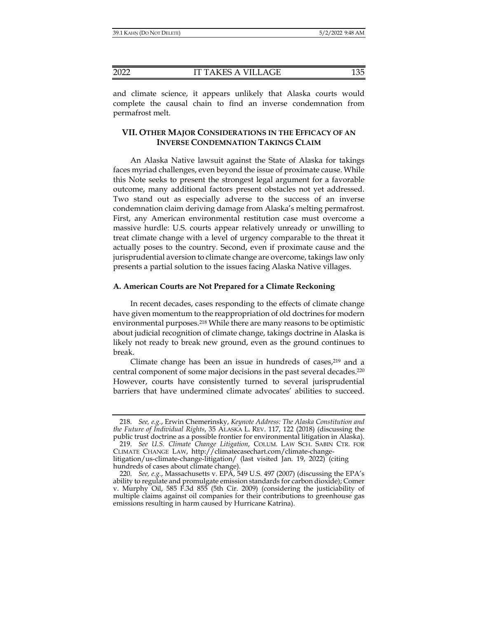and climate science, it appears unlikely that Alaska courts would complete the causal chain to find an inverse condemnation from permafrost melt.

# **VII. OTHER MAJOR CONSIDERATIONS IN THE EFFICACY OF AN INVERSE CONDEMNATION TAKINGS CLAIM**

An Alaska Native lawsuit against the State of Alaska for takings faces myriad challenges, even beyond the issue of proximate cause. While this Note seeks to present the strongest legal argument for a favorable outcome, many additional factors present obstacles not yet addressed. Two stand out as especially adverse to the success of an inverse condemnation claim deriving damage from Alaska's melting permafrost. First, any American environmental restitution case must overcome a massive hurdle: U.S. courts appear relatively unready or unwilling to treat climate change with a level of urgency comparable to the threat it actually poses to the country. Second, even if proximate cause and the jurisprudential aversion to climate change are overcome, takings law only presents a partial solution to the issues facing Alaska Native villages.

## **A. American Courts are Not Prepared for a Climate Reckoning**

In recent decades, cases responding to the effects of climate change have given momentum to the reappropriation of old doctrines for modern environmental purposes.218 While there are many reasons to be optimistic about judicial recognition of climate change, takings doctrine in Alaska is likely not ready to break new ground, even as the ground continues to break.

Climate change has been an issue in hundreds of cases, $2^{19}$  and a central component of some major decisions in the past several decades.220 However, courts have consistently turned to several jurisprudential barriers that have undermined climate advocates' abilities to succeed.

 <sup>218.</sup> *See, e.g.*, Erwin Chemerinsky, *Keynote Address: The Alaska Constitution and the Future of Individual Rights*, 35 ALASKA L. REV. 117, 122 (2018) (discussing the public trust doctrine as a possible frontier for environmental litigation in Alaska).

 <sup>219.</sup> *See U.S. Climate Change Litigation*, COLUM. LAW SCH. SABIN CTR. FOR CLIMATE CHANGE LAW, http://climatecasechart.com/climate-changelitigation/us-climate-change-litigation/ (last visited Jan. 19, 2022) (citing hundreds of cases about climate change).

 <sup>220.</sup> *See, e.g.*, Massachusetts v. EPA, 549 U.S. 497 (2007) (discussing the EPA's ability to regulate and promulgate emission standards for carbon dioxide); Comer v. Murphy Oil, 585 F.3d 855 (5th Cir. 2009) (considering the justiciability of multiple claims against oil companies for their contributions to greenhouse gas emissions resulting in harm caused by Hurricane Katrina).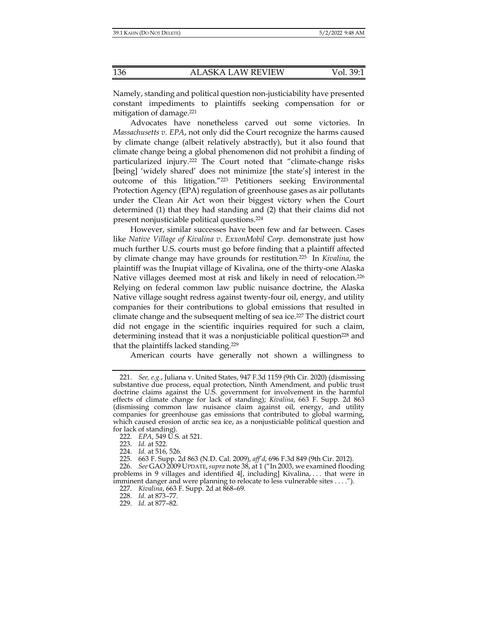Namely, standing and political question non-justiciability have presented constant impediments to plaintiffs seeking compensation for or mitigation of damage.<sup>221</sup>

Advocates have nonetheless carved out some victories. In *Massachusetts v. EPA*, not only did the Court recognize the harms caused by climate change (albeit relatively abstractly), but it also found that climate change being a global phenomenon did not prohibit a finding of particularized injury.222 The Court noted that "climate-change risks [being] 'widely shared' does not minimize [the state's] interest in the outcome of this litigation."223 Petitioners seeking Environmental Protection Agency (EPA) regulation of greenhouse gases as air pollutants under the Clean Air Act won their biggest victory when the Court determined (1) that they had standing and (2) that their claims did not present nonjusticiable political questions.224

However, similar successes have been few and far between. Cases like *Native Village of Kivalina v. ExxonMobil Corp.* demonstrate just how much further U.S. courts must go before finding that a plaintiff affected by climate change may have grounds for restitution*.* 225 In *Kivalina*, the plaintiff was the Inupiat village of Kivalina, one of the thirty-one Alaska Native villages deemed most at risk and likely in need of relocation.226 Relying on federal common law public nuisance doctrine, the Alaska Native village sought redress against twenty-four oil, energy, and utility companies for their contributions to global emissions that resulted in climate change and the subsequent melting of sea ice.<sup>227</sup> The district court did not engage in the scientific inquiries required for such a claim, determining instead that it was a nonjusticiable political question<sup>228</sup> and that the plaintiffs lacked standing.229

American courts have generally not shown a willingness to

 <sup>221.</sup> *See, e.g.*, Juliana v. United States, 947 F.3d 1159 (9th Cir. 2020) (dismissing substantive due process, equal protection, Ninth Amendment, and public trust doctrine claims against the U.S. government for involvement in the harmful effects of climate change for lack of standing); *Kivalina*, 663 F. Supp. 2d 863 (dismissing common law nuisance claim against oil, energy, and utility companies for greenhouse gas emissions that contributed to global warming, which caused erosion of arctic sea ice, as a nonjusticiable political question and for lack of standing).

 <sup>222.</sup> *EPA*, 549 U.S. at 521.

 <sup>223.</sup> *Id.* at 522.

 <sup>224.</sup> *Id.* at 516, 526.

 <sup>225. 663</sup> F. Supp. 2d 863 (N.D. Cal. 2009), *aff'd*, 696 F.3d 849 (9th Cir. 2012).

 <sup>226.</sup> *See* GAO 2009 UPDATE,*supra* note 38, at 1 ("In 2003, we examined flooding problems in 9 villages and identified 4[, including] Kivalina, . . . that were in imminent danger and were planning to relocate to less vulnerable sites . . . .").

 <sup>227.</sup> *Kivalina*, 663 F. Supp. 2d at 868–69.

 <sup>228.</sup> *Id.* at 873–77.

 <sup>229.</sup> *Id.* at 877–82.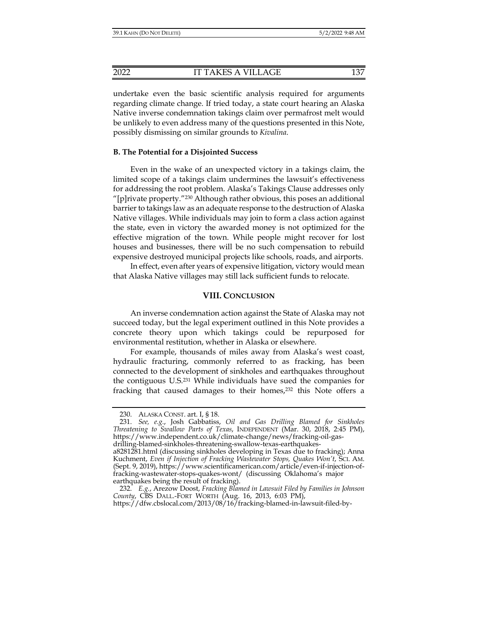undertake even the basic scientific analysis required for arguments regarding climate change. If tried today, a state court hearing an Alaska Native inverse condemnation takings claim over permafrost melt would be unlikely to even address many of the questions presented in this Note, possibly dismissing on similar grounds to *Kivalina*.

## **B. The Potential for a Disjointed Success**

Even in the wake of an unexpected victory in a takings claim, the limited scope of a takings claim undermines the lawsuit's effectiveness for addressing the root problem. Alaska's Takings Clause addresses only "[p]rivate property."230 Although rather obvious, this poses an additional barrier to takings law as an adequate response to the destruction of Alaska Native villages. While individuals may join to form a class action against the state, even in victory the awarded money is not optimized for the effective migration of the town. While people might recover for lost houses and businesses, there will be no such compensation to rebuild expensive destroyed municipal projects like schools, roads, and airports.

In effect, even after years of expensive litigation, victory would mean that Alaska Native villages may still lack sufficient funds to relocate.

## **VIII. CONCLUSION**

An inverse condemnation action against the State of Alaska may not succeed today, but the legal experiment outlined in this Note provides a concrete theory upon which takings could be repurposed for environmental restitution, whether in Alaska or elsewhere.

For example, thousands of miles away from Alaska's west coast, hydraulic fracturing, commonly referred to as fracking, has been connected to the development of sinkholes and earthquakes throughout the contiguous U.S.231 While individuals have sued the companies for fracking that caused damages to their homes, $232$  this Note offers a

 <sup>230.</sup> ALASKA CONST. art. I, § 18.

 <sup>231.</sup> *See, e.g.*, Josh Gabbatiss, *Oil and Gas Drilling Blamed for Sinkholes Threatening to Swallow Parts of Texas*, INDEPENDENT (Mar. 30, 2018, 2:45 PM), https://www.independent.co.uk/climate-change/news/fracking-oil-gasdrilling-blamed-sinkholes-threatening-swallow-texas-earthquakes-

a8281281.html (discussing sinkholes developing in Texas due to fracking); Anna Kuchment, *Even if Injection of Fracking Wastewater Stops, Quakes Won't*, SCI. AM. (Sept. 9, 2019), https://www.scientificamerican.com/article/even-if-injection-offracking-wastewater-stops-quakes-wont/ (discussing Oklahoma's major earthquakes being the result of fracking).

 <sup>232.</sup> *E.g.*, Arezow Doost, *Fracking Blamed in Lawsuit Filed by Families in Johnson County*, CBS DALL.-FORT WORTH (Aug. 16, 2013, 6:03 PM),

https://dfw.cbslocal.com/2013/08/16/fracking-blamed-in-lawsuit-filed-by-